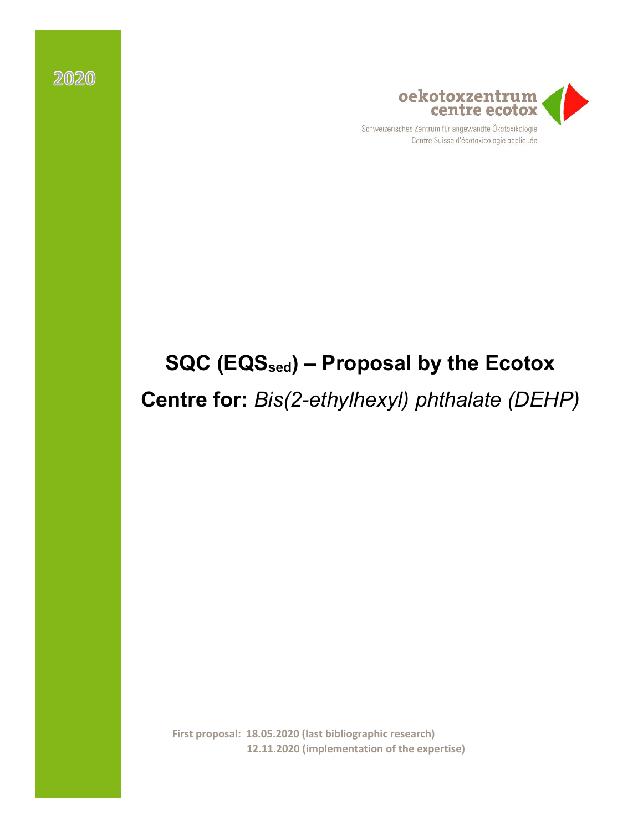

Schweizerisches Zentrum für angewandte Ökotoxikologie Centre Suisse d'écotoxicologie appliquée

# **SQC (EQSsed) – Proposal by the Ecotox**

**Centre for:** *Bis(2-ethylhexyl) phthalate (DEHP)*

**First proposal: 18.05.2020 (last bibliographic research) 12.11.2020 (implementation of the expertise)**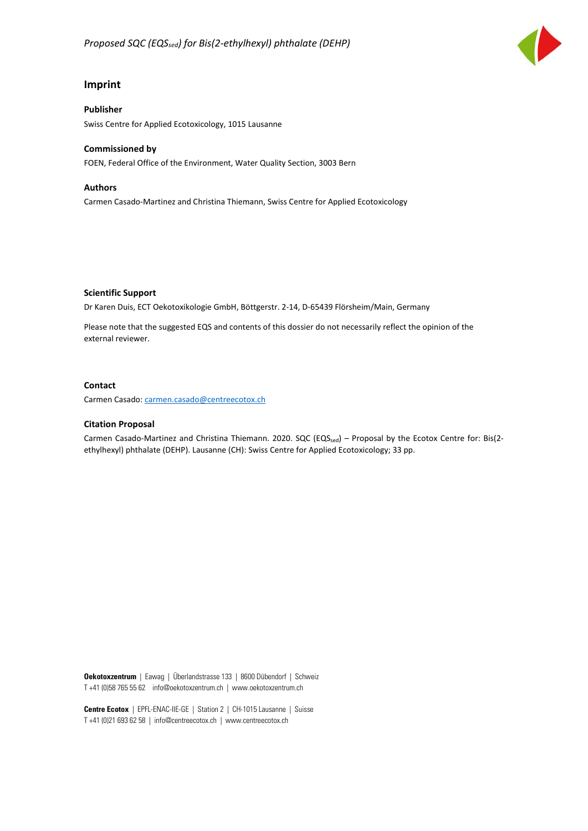

#### **Imprint**

#### **Publisher** Swiss Centre for Applied Ecotoxicology, 1015 Lausanne

#### **Commissioned by**

FOEN, Federal Office of the Environment, Water Quality Section, 3003 Bern

#### **Authors**

Carmen Casado-Martinez and Christina Thiemann, Swiss Centre for Applied Ecotoxicology

**Scientific Support**

Dr Karen Duis, ECT Oekotoxikologie GmbH, Böttgerstr. 2-14, D-65439 Flörsheim/Main, Germany

Please note that the suggested EQS and contents of this dossier do not necessarily reflect the opinion of the external reviewer.

#### **Contact**

Carmen Casado[: carmen.casado@centreecotox.ch](mailto:carmen.casado@centreecotox.ch)

#### **Citation Proposal**

Carmen Casado-Martinez and Christina Thiemann. 2020. SQC (EQS<sub>sed</sub>) – Proposal by the Ecotox Centre for: Bis(2ethylhexyl) phthalate (DEHP). Lausanne (CH): Swiss Centre for Applied Ecotoxicology; 33 pp.

**Oekotoxzentrum** | Eawag | Überlandstrasse 133 | 8600 Dübendorf | Schweiz T +41 (0)58 765 55 62 info@oekotoxzentrum.ch | www.oekotoxzentrum.ch

**Centre Ecotox** | EPFL-ENAC-IIE-GE | Station 2 | CH-1015 Lausanne | Suisse T +41 (0)21 693 62 58 | info@centreecotox.ch | www.centreecotox.ch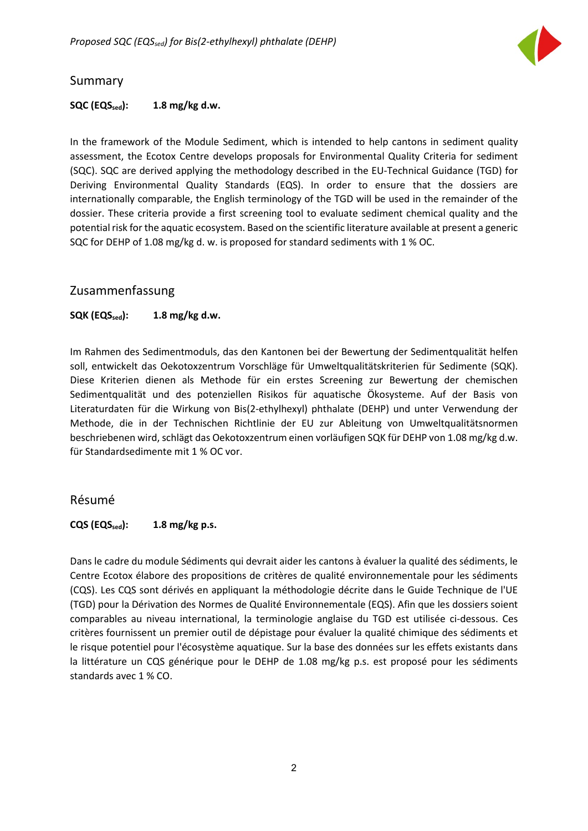

#### <span id="page-2-0"></span>Summary

#### **SQC (EQSsed): 1.8 mg/kg d.w.**

In the framework of the Module Sediment, which is intended to help cantons in sediment quality assessment, the Ecotox Centre develops proposals for Environmental Quality Criteria for sediment (SQC). SQC are derived applying the methodology described in the EU-Technical Guidance (TGD) for Deriving Environmental Quality Standards (EQS). In order to ensure that the dossiers are internationally comparable, the English terminology of the TGD will be used in the remainder of the dossier. These criteria provide a first screening tool to evaluate sediment chemical quality and the potential risk for the aquatic ecosystem. Based on the scientific literature available at present a generic SQC for DEHP of 1.08 mg/kg d. w. is proposed for standard sediments with 1 % OC.

#### <span id="page-2-1"></span>Zusammenfassung

#### **SQK (EQSsed): 1.8 mg/kg d.w.**

Im Rahmen des Sedimentmoduls, das den Kantonen bei der Bewertung der Sedimentqualität helfen soll, entwickelt das Oekotoxzentrum Vorschläge für Umweltqualitätskriterien für Sedimente (SQK). Diese Kriterien dienen als Methode für ein erstes Screening zur Bewertung der chemischen Sedimentqualität und des potenziellen Risikos für aquatische Ökosysteme. Auf der Basis von Literaturdaten für die Wirkung von Bis(2-ethylhexyl) phthalate (DEHP) und unter Verwendung der Methode, die in der Technischen Richtlinie der EU zur Ableitung von Umweltqualitätsnormen beschriebenen wird, schlägt das Oekotoxzentrum einen vorläufigen SQK für DEHP von 1.08 mg/kg d.w. für Standardsedimente mit 1 % OC vor.

#### <span id="page-2-2"></span>Résumé

#### **CQS (EQSsed): 1.8 mg/kg p.s.**

Dans le cadre du module Sédiments qui devrait aider les cantons à évaluer la qualité des sédiments, le Centre Ecotox élabore des propositions de critères de qualité environnementale pour les sédiments (CQS). Les CQS sont dérivés en appliquant la méthodologie décrite dans le Guide Technique de l'UE (TGD) pour la Dérivation des Normes de Qualité Environnementale (EQS). Afin que les dossiers soient comparables au niveau international, la terminologie anglaise du TGD est utilisée ci-dessous. Ces critères fournissent un premier outil de dépistage pour évaluer la qualité chimique des sédiments et le risque potentiel pour l'écosystème aquatique. Sur la base des données sur les effets existants dans la littérature un CQS générique pour le DEHP de 1.08 mg/kg p.s. est proposé pour les sédiments standards avec 1 % CO.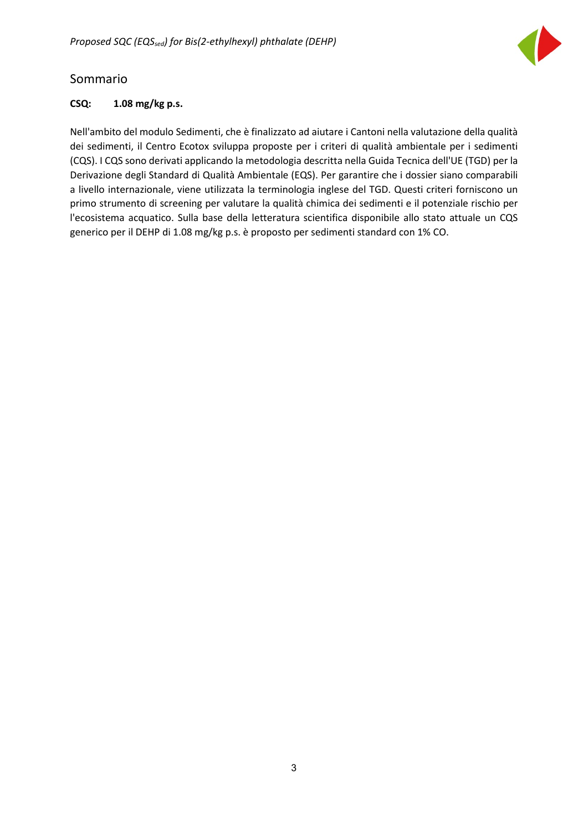

### <span id="page-3-0"></span>Sommario

#### **CSQ: 1.08 mg/kg p.s.**

Nell'ambito del modulo Sedimenti, che è finalizzato ad aiutare i Cantoni nella valutazione della qualità dei sedimenti, il Centro Ecotox sviluppa proposte per i criteri di qualità ambientale per i sedimenti (CQS). I CQS sono derivati applicando la metodologia descritta nella Guida Tecnica dell'UE (TGD) per la Derivazione degli Standard di Qualità Ambientale (EQS). Per garantire che i dossier siano comparabili a livello internazionale, viene utilizzata la terminologia inglese del TGD. Questi criteri forniscono un primo strumento di screening per valutare la qualità chimica dei sedimenti e il potenziale rischio per l'ecosistema acquatico. Sulla base della letteratura scientifica disponibile allo stato attuale un CQS generico per il DEHP di 1.08 mg/kg p.s. è proposto per sedimenti standard con 1% CO.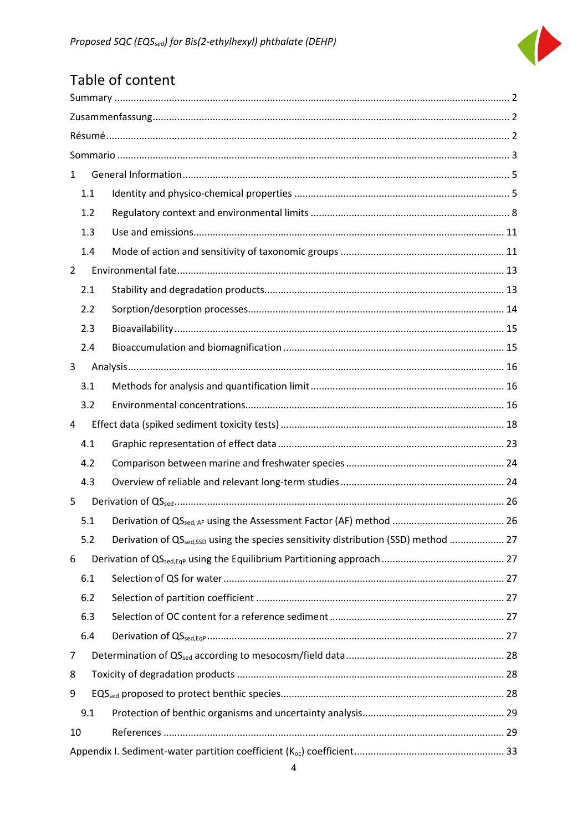

# Table of content

| $\mathbf{1}$                                                                                           |  |  |  |  |  |  |  |  |
|--------------------------------------------------------------------------------------------------------|--|--|--|--|--|--|--|--|
| 1.1                                                                                                    |  |  |  |  |  |  |  |  |
| 1.2                                                                                                    |  |  |  |  |  |  |  |  |
| 1.3                                                                                                    |  |  |  |  |  |  |  |  |
| 1.4                                                                                                    |  |  |  |  |  |  |  |  |
| $\overline{2}$                                                                                         |  |  |  |  |  |  |  |  |
| 2.1                                                                                                    |  |  |  |  |  |  |  |  |
| 2.2                                                                                                    |  |  |  |  |  |  |  |  |
| 2.3                                                                                                    |  |  |  |  |  |  |  |  |
| 2.4                                                                                                    |  |  |  |  |  |  |  |  |
| 3                                                                                                      |  |  |  |  |  |  |  |  |
| 3.1                                                                                                    |  |  |  |  |  |  |  |  |
| 3.2                                                                                                    |  |  |  |  |  |  |  |  |
| 4                                                                                                      |  |  |  |  |  |  |  |  |
| 4.1                                                                                                    |  |  |  |  |  |  |  |  |
| 4.2                                                                                                    |  |  |  |  |  |  |  |  |
| 4.3                                                                                                    |  |  |  |  |  |  |  |  |
| 5                                                                                                      |  |  |  |  |  |  |  |  |
| 5.1                                                                                                    |  |  |  |  |  |  |  |  |
| Derivation of QS <sub>sed,SSD</sub> using the species sensitivity distribution (SSD) method  27<br>5.2 |  |  |  |  |  |  |  |  |
| 6                                                                                                      |  |  |  |  |  |  |  |  |
| 6.1                                                                                                    |  |  |  |  |  |  |  |  |
| 6.2                                                                                                    |  |  |  |  |  |  |  |  |
| 6.3                                                                                                    |  |  |  |  |  |  |  |  |
| 6.4                                                                                                    |  |  |  |  |  |  |  |  |
| 7                                                                                                      |  |  |  |  |  |  |  |  |
| 8                                                                                                      |  |  |  |  |  |  |  |  |
| 9                                                                                                      |  |  |  |  |  |  |  |  |
| 9.1                                                                                                    |  |  |  |  |  |  |  |  |
| 10                                                                                                     |  |  |  |  |  |  |  |  |
|                                                                                                        |  |  |  |  |  |  |  |  |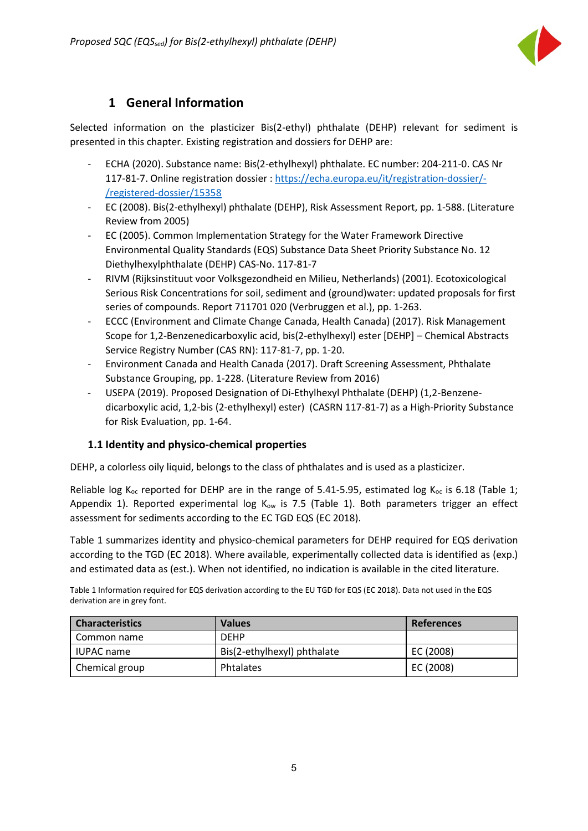

### **1 General Information**

<span id="page-5-0"></span>Selected information on the plasticizer Bis(2-ethyl) phthalate (DEHP) relevant for sediment is presented in this chapter. Existing registration and dossiers for DEHP are:

- ECHA (2020). Substance name: Bis(2-ethylhexyl) phthalate. EC number: 204-211-0. CAS Nr 117-81-7. Online registration dossier [: https://echa.europa.eu/it/registration-dossier/-](https://echa.europa.eu/it/registration-dossier/-/registered-dossier/15358) [/registered-dossier/15358](https://echa.europa.eu/it/registration-dossier/-/registered-dossier/15358)
- EC (2008). Bis(2-ethylhexyl) phthalate (DEHP), Risk Assessment Report, pp. 1-588. (Literature Review from 2005)
- EC (2005). Common Implementation Strategy for the Water Framework Directive Environmental Quality Standards (EQS) Substance Data Sheet Priority Substance No. 12 Diethylhexylphthalate (DEHP) CAS-No. 117-81-7
- RIVM (Rijksinstituut voor Volksgezondheid en Milieu, Netherlands) (2001). Ecotoxicological Serious Risk Concentrations for soil, sediment and (ground)water: updated proposals for first series of compounds. Report 711701 020 (Verbruggen et al.), pp. 1-263.
- ECCC (Environment and Climate Change Canada, Health Canada) (2017). Risk Management Scope for 1,2-Benzenedicarboxylic acid, bis(2-ethylhexyl) ester [DEHP] – Chemical Abstracts Service Registry Number (CAS RN): 117-81-7, pp. 1-20.
- Environment Canada and Health Canada (2017). Draft Screening Assessment, Phthalate Substance Grouping, pp. 1-228. (Literature Review from 2016)
- USEPA (2019). Proposed Designation of Di-Ethylhexyl Phthalate (DEHP) (1,2-Benzenedicarboxylic acid, 1,2-bis (2-ethylhexyl) ester) (CASRN 117-81-7) as a High-Priority Substance for Risk Evaluation, pp. 1-64.

#### <span id="page-5-1"></span>**1.1 Identity and physico-chemical properties**

DEHP, a colorless oily liquid, belongs to the class of phthalates and is used as a plasticizer.

Reliable log K<sub>oc</sub> reported for DEHP are in the range of 5.41-5.95, estimated log K<sub>oc</sub> is 6.18 (Table 1; Appendix 1). Reported experimental log  $K_{ow}$  is 7.5 (Table 1). Both parameters trigger an effect assessment for sediments according to the EC TGD EQS (EC 2018).

Table 1 summarizes identity and physico-chemical parameters for DEHP required for EQS derivation according to the TGD (EC 2018). Where available, experimentally collected data is identified as (exp.) and estimated data as (est.). When not identified, no indication is available in the cited literature.

Table 1 Information required for EQS derivation according to the EU TGD for EQS (EC 2018). Data not used in the EQS derivation are in grey font.

| <b>Characteristics</b> | <b>Values</b>               | <b>References</b> |  |  |  |
|------------------------|-----------------------------|-------------------|--|--|--|
| Common name            | <b>DEHP</b>                 |                   |  |  |  |
| <b>IUPAC name</b>      | Bis(2-ethylhexyl) phthalate | EC (2008)         |  |  |  |
| Chemical group         | Phtalates                   | EC (2008)         |  |  |  |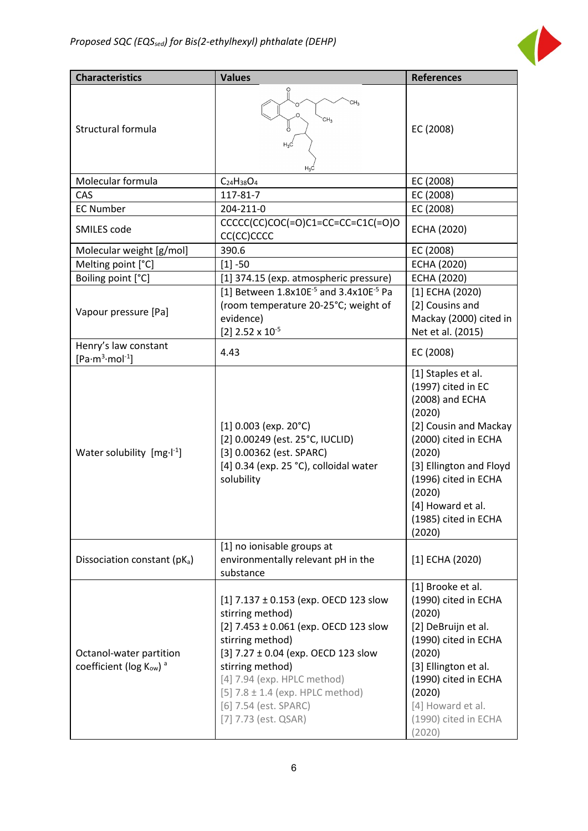

| <b>Characteristics</b>                                        | <b>Values</b>                                                                                                                                                                                                                                                                                               | <b>References</b>                                                                                                                                                                                                                                    |
|---------------------------------------------------------------|-------------------------------------------------------------------------------------------------------------------------------------------------------------------------------------------------------------------------------------------------------------------------------------------------------------|------------------------------------------------------------------------------------------------------------------------------------------------------------------------------------------------------------------------------------------------------|
| Structural formula                                            | CH <sub>3</sub><br>ő<br>$H_3C$                                                                                                                                                                                                                                                                              | EC (2008)                                                                                                                                                                                                                                            |
| Molecular formula                                             | $C_{24}H_{38}O_4$                                                                                                                                                                                                                                                                                           | EC (2008)                                                                                                                                                                                                                                            |
| CAS                                                           | 117-81-7                                                                                                                                                                                                                                                                                                    | EC (2008)                                                                                                                                                                                                                                            |
| <b>EC Number</b>                                              | 204-211-0                                                                                                                                                                                                                                                                                                   | EC (2008)                                                                                                                                                                                                                                            |
| SMILES code                                                   | $CCCC(CC)COC(=O)C1=CC=CC=Cl(C(=O)O$<br>CC(CC)CCCC                                                                                                                                                                                                                                                           | ECHA (2020)                                                                                                                                                                                                                                          |
| Molecular weight [g/mol]                                      | 390.6                                                                                                                                                                                                                                                                                                       | EC (2008)                                                                                                                                                                                                                                            |
| Melting point [°C]                                            | $[1] - 50$                                                                                                                                                                                                                                                                                                  | ECHA (2020)                                                                                                                                                                                                                                          |
| Boiling point [°C]                                            | [1] 374.15 (exp. atmospheric pressure)                                                                                                                                                                                                                                                                      | ECHA (2020)                                                                                                                                                                                                                                          |
| Vapour pressure [Pa]                                          | [1] Between 1.8x10E <sup>-5</sup> and 3.4x10E <sup>-5</sup> Pa<br>(room temperature 20-25°C; weight of<br>evidence)<br>[2] $2.52 \times 10^{-5}$                                                                                                                                                            | $[1]$ ECHA (2020)<br>[2] Cousins and<br>Mackay (2000) cited in<br>Net et al. (2015)                                                                                                                                                                  |
| Henry's law constant<br>$[Pa·m3·mol-1]$                       | 4.43                                                                                                                                                                                                                                                                                                        | EC (2008)                                                                                                                                                                                                                                            |
| Water solubility $[mg \cdot l^{-1}]$                          | $[1]$ 0.003 (exp. 20°C)<br>[2] 0.00249 (est. 25°C, IUCLID)<br>[3] 0.00362 (est. SPARC)<br>[4] 0.34 (exp. 25 °C), colloidal water<br>solubility                                                                                                                                                              | [1] Staples et al.<br>(1997) cited in EC<br>(2008) and ECHA<br>(2020)<br>[2] Cousin and Mackay<br>(2000) cited in ECHA<br>(2020)<br>[3] Ellington and Floyd<br>(1996) cited in ECHA<br>(2020)<br>[4] Howard et al.<br>(1985) cited in ECHA<br>(2020) |
| Dissociation constant (pKa)                                   | [1] no ionisable groups at<br>environmentally relevant pH in the<br>substance                                                                                                                                                                                                                               | $[1]$ ECHA (2020)                                                                                                                                                                                                                                    |
| Octanol-water partition<br>coefficient (log Kow) <sup>a</sup> | [1] 7.137 ± 0.153 (exp. OECD 123 slow<br>stirring method)<br>[2] $7.453 \pm 0.061$ (exp. OECD 123 slow<br>stirring method)<br>[3] 7.27 ± 0.04 (exp. OECD 123 slow<br>stirring method)<br>[4] 7.94 (exp. HPLC method)<br>$[5]$ 7.8 ± 1.4 (exp. HPLC method)<br>[6] 7.54 (est. SPARC)<br>[7] 7.73 (est. QSAR) | [1] Brooke et al.<br>(1990) cited in ECHA<br>(2020)<br>[2] DeBruijn et al.<br>(1990) cited in ECHA<br>(2020)<br>[3] Ellington et al.<br>(1990) cited in ECHA<br>(2020)<br>[4] Howard et al.<br>(1990) cited in ECHA<br>(2020)                        |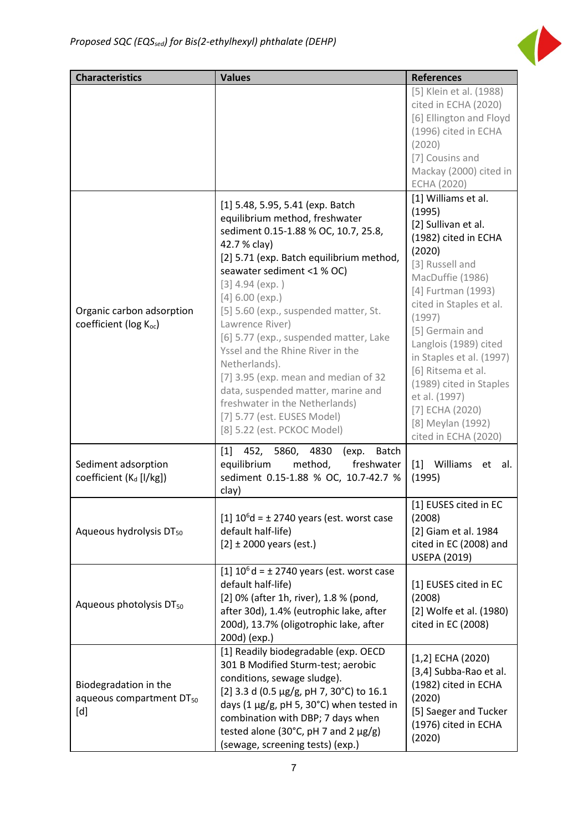

| <b>Characteristics</b>                                               | <b>Values</b>                                                                                                                                                                                                                                                                                                                                                                                                                                                                                                                                                                           | <b>References</b>                                                                                                                                                                                                                                                                                                                                                                                    |  |  |
|----------------------------------------------------------------------|-----------------------------------------------------------------------------------------------------------------------------------------------------------------------------------------------------------------------------------------------------------------------------------------------------------------------------------------------------------------------------------------------------------------------------------------------------------------------------------------------------------------------------------------------------------------------------------------|------------------------------------------------------------------------------------------------------------------------------------------------------------------------------------------------------------------------------------------------------------------------------------------------------------------------------------------------------------------------------------------------------|--|--|
|                                                                      |                                                                                                                                                                                                                                                                                                                                                                                                                                                                                                                                                                                         | [5] Klein et al. (1988)<br>cited in ECHA (2020)<br>[6] Ellington and Floyd<br>(1996) cited in ECHA<br>(2020)<br>[7] Cousins and<br>Mackay (2000) cited in<br><b>ECHA (2020)</b>                                                                                                                                                                                                                      |  |  |
| Organic carbon adsorption<br>coefficient (log Koc)                   | [1] 5.48, 5.95, 5.41 (exp. Batch<br>equilibrium method, freshwater<br>sediment 0.15-1.88 % OC, 10.7, 25.8,<br>42.7 % clay)<br>[2] 5.71 (exp. Batch equilibrium method,<br>seawater sediment <1 % OC)<br>$[3]$ 4.94 (exp.)<br>$[4] 6.00$ (exp.)<br>[5] 5.60 (exp., suspended matter, St.<br>Lawrence River)<br>[6] 5.77 (exp., suspended matter, Lake<br>Yssel and the Rhine River in the<br>Netherlands).<br>[7] 3.95 (exp. mean and median of 32<br>data, suspended matter, marine and<br>freshwater in the Netherlands)<br>[7] 5.77 (est. EUSES Model)<br>[8] 5.22 (est. PCKOC Model) | [1] Williams et al.<br>(1995)<br>[2] Sullivan et al.<br>(1982) cited in ECHA<br>(2020)<br>[3] Russell and<br>MacDuffie (1986)<br>[4] Furtman (1993)<br>cited in Staples et al.<br>(1997)<br>[5] Germain and<br>Langlois (1989) cited<br>in Staples et al. (1997)<br>[6] Ritsema et al.<br>(1989) cited in Staples<br>et al. (1997)<br>$[7]$ ECHA (2020)<br>[8] Meylan (1992)<br>cited in ECHA (2020) |  |  |
| Sediment adsorption<br>coefficient (K <sub>d</sub> [l/kg])           | 452, 5860, 4830<br>$[1]$<br>(exp.<br><b>Batch</b><br>equilibrium<br>method,<br>freshwater<br>sediment 0.15-1.88 % OC, 10.7-42.7 %<br>clay)                                                                                                                                                                                                                                                                                                                                                                                                                                              | $[1]$<br>Williams<br>et al.<br>(1995)                                                                                                                                                                                                                                                                                                                                                                |  |  |
| Aqueous hydrolysis DT <sub>50</sub>                                  | $[1] 106d = \pm 2740$ years (est. worst case<br>default half-life)<br>$[2] \pm 2000$ years (est.)                                                                                                                                                                                                                                                                                                                                                                                                                                                                                       | [1] EUSES cited in EC<br>(2008)<br>[2] Giam et al. 1984<br>cited in EC (2008) and<br><b>USEPA (2019)</b>                                                                                                                                                                                                                                                                                             |  |  |
| Aqueous photolysis DT <sub>50</sub>                                  | [1] EUSES cited in EC<br>(2008)<br>[2] Wolfe et al. (1980)<br>cited in EC (2008)                                                                                                                                                                                                                                                                                                                                                                                                                                                                                                        |                                                                                                                                                                                                                                                                                                                                                                                                      |  |  |
| Biodegradation in the<br>aqueous compartment DT <sub>50</sub><br>[d] | [1] Readily biodegradable (exp. OECD<br>301 B Modified Sturm-test; aerobic<br>conditions, sewage sludge).<br>[2] 3.3 d (0.5 µg/g, pH 7, 30°C) to 16.1<br>days (1 µg/g, pH 5, 30°C) when tested in<br>combination with DBP; 7 days when<br>tested alone (30°C, pH 7 and 2 $\mu$ g/g)<br>(sewage, screening tests) (exp.)                                                                                                                                                                                                                                                                 | $[1,2]$ ECHA (2020)<br>[3,4] Subba-Rao et al.<br>(1982) cited in ECHA<br>(2020)<br>[5] Saeger and Tucker<br>(1976) cited in ECHA<br>(2020)                                                                                                                                                                                                                                                           |  |  |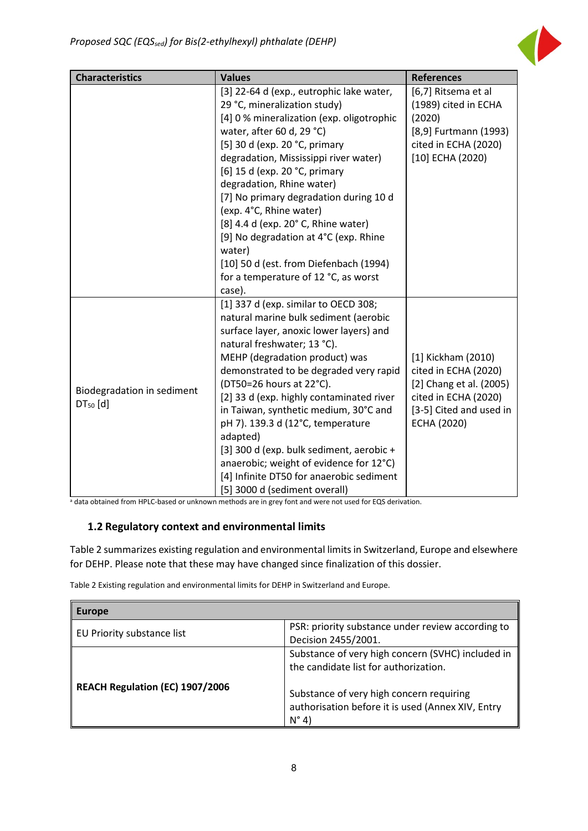

| <b>Characteristics</b>                   | <b>Values</b>                                                                                                                                                                                                                                                                                                                                                                                                                                                                                                                                                             | <b>References</b>                                                                                                                              |  |  |
|------------------------------------------|---------------------------------------------------------------------------------------------------------------------------------------------------------------------------------------------------------------------------------------------------------------------------------------------------------------------------------------------------------------------------------------------------------------------------------------------------------------------------------------------------------------------------------------------------------------------------|------------------------------------------------------------------------------------------------------------------------------------------------|--|--|
|                                          | [3] 22-64 d (exp., eutrophic lake water,<br>29 °C, mineralization study)<br>[4] 0 % mineralization (exp. oligotrophic<br>water, after 60 d, 29 °C)<br>[5] 30 d (exp. 20 °C, primary<br>degradation, Mississippi river water)<br>[6] 15 d (exp. 20 °C, primary<br>degradation, Rhine water)<br>[7] No primary degradation during 10 d<br>(exp. 4°C, Rhine water)<br>[8] 4.4 d (exp. 20° C, Rhine water)<br>[9] No degradation at 4°C (exp. Rhine<br>water)<br>[10] 50 d (est. from Diefenbach (1994)                                                                       | [6,7] Ritsema et al<br>(1989) cited in ECHA<br>(2020)<br>[8,9] Furtmann (1993)<br>cited in ECHA (2020)<br>$[10]$ ECHA (2020)                   |  |  |
|                                          | for a temperature of 12 °C, as worst<br>case).                                                                                                                                                                                                                                                                                                                                                                                                                                                                                                                            |                                                                                                                                                |  |  |
| Biodegradation in sediment<br>$DT50$ [d] | [1] 337 d (exp. similar to OECD 308;<br>natural marine bulk sediment (aerobic<br>surface layer, anoxic lower layers) and<br>natural freshwater; 13 °C).<br>MEHP (degradation product) was<br>demonstrated to be degraded very rapid<br>(DT50=26 hours at 22°C).<br>[2] 33 d (exp. highly contaminated river<br>in Taiwan, synthetic medium, 30°C and<br>pH 7). 139.3 d (12°C, temperature<br>adapted)<br>[3] 300 d (exp. bulk sediment, aerobic +<br>anaerobic; weight of evidence for 12°C)<br>[4] Infinite DT50 for anaerobic sediment<br>[5] 3000 d (sediment overall) | [1] Kickham (2010)<br>cited in ECHA (2020)<br>[2] Chang et al. (2005)<br>cited in ECHA (2020)<br>[3-5] Cited and used in<br><b>ECHA (2020)</b> |  |  |

a data obtained from HPLC-based or unknown methods are in grey font and were not used for EQS derivation.

#### <span id="page-8-0"></span>**1.2 Regulatory context and environmental limits**

Table 2 summarizes existing regulation and environmental limits in Switzerland, Europe and elsewhere for DEHP. Please note that these may have changed since finalization of this dossier.

Table 2 Existing regulation and environmental limits for DEHP in Switzerland and Europe.

| <b>Europe</b>                   |                                                                                                                                                                                                               |
|---------------------------------|---------------------------------------------------------------------------------------------------------------------------------------------------------------------------------------------------------------|
| EU Priority substance list      | PSR: priority substance under review according to<br>Decision 2455/2001.                                                                                                                                      |
| REACH Regulation (EC) 1907/2006 | Substance of very high concern (SVHC) included in<br>the candidate list for authorization.<br>Substance of very high concern requiring<br>authorisation before it is used (Annex XIV, Entry<br>$N^{\circ}$ 4) |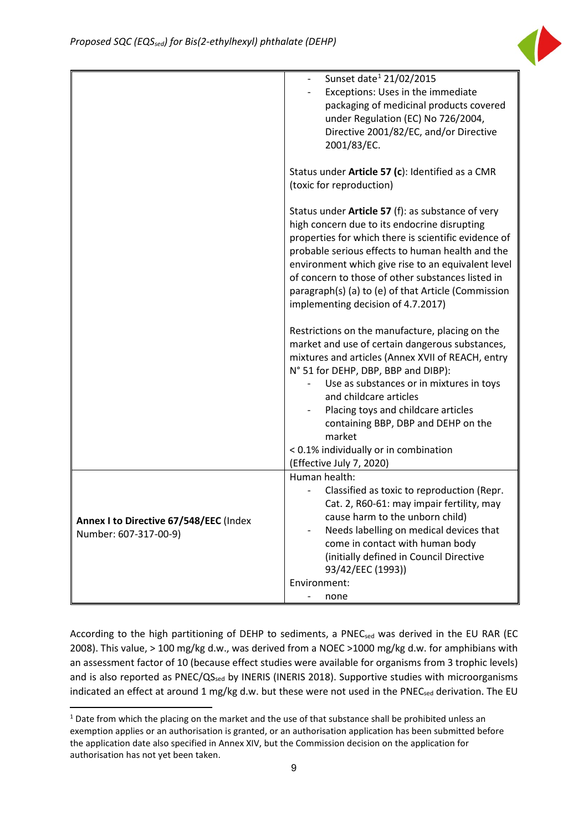

|                                        | Sunset date <sup>1</sup> 21/02/2015                                        |  |  |  |  |  |  |
|----------------------------------------|----------------------------------------------------------------------------|--|--|--|--|--|--|
|                                        | Exceptions: Uses in the immediate                                          |  |  |  |  |  |  |
|                                        | packaging of medicinal products covered                                    |  |  |  |  |  |  |
|                                        | under Regulation (EC) No 726/2004,                                         |  |  |  |  |  |  |
|                                        | Directive 2001/82/EC, and/or Directive                                     |  |  |  |  |  |  |
|                                        | 2001/83/EC.                                                                |  |  |  |  |  |  |
|                                        |                                                                            |  |  |  |  |  |  |
|                                        | Status under Article 57 (c): Identified as a CMR                           |  |  |  |  |  |  |
|                                        | (toxic for reproduction)                                                   |  |  |  |  |  |  |
|                                        |                                                                            |  |  |  |  |  |  |
|                                        | Status under Article 57 (f): as substance of very                          |  |  |  |  |  |  |
|                                        | high concern due to its endocrine disrupting                               |  |  |  |  |  |  |
|                                        | properties for which there is scientific evidence of                       |  |  |  |  |  |  |
|                                        | probable serious effects to human health and the                           |  |  |  |  |  |  |
|                                        | environment which give rise to an equivalent level                         |  |  |  |  |  |  |
|                                        | of concern to those of other substances listed in                          |  |  |  |  |  |  |
|                                        | paragraph(s) (a) to (e) of that Article (Commission                        |  |  |  |  |  |  |
|                                        | implementing decision of 4.7.2017)                                         |  |  |  |  |  |  |
|                                        |                                                                            |  |  |  |  |  |  |
|                                        | Restrictions on the manufacture, placing on the                            |  |  |  |  |  |  |
|                                        | market and use of certain dangerous substances,                            |  |  |  |  |  |  |
|                                        | mixtures and articles (Annex XVII of REACH, entry                          |  |  |  |  |  |  |
|                                        | N° 51 for DEHP, DBP, BBP and DIBP):                                        |  |  |  |  |  |  |
|                                        | Use as substances or in mixtures in toys                                   |  |  |  |  |  |  |
|                                        | and childcare articles                                                     |  |  |  |  |  |  |
|                                        | Placing toys and childcare articles                                        |  |  |  |  |  |  |
|                                        | containing BBP, DBP and DEHP on the                                        |  |  |  |  |  |  |
|                                        | market                                                                     |  |  |  |  |  |  |
|                                        | < 0.1% individually or in combination                                      |  |  |  |  |  |  |
|                                        | (Effective July 7, 2020)                                                   |  |  |  |  |  |  |
|                                        | Human health:                                                              |  |  |  |  |  |  |
|                                        | Classified as toxic to reproduction (Repr.                                 |  |  |  |  |  |  |
|                                        | Cat. 2, R60-61: may impair fertility, may                                  |  |  |  |  |  |  |
| Annex I to Directive 67/548/EEC (Index | cause harm to the unborn child)                                            |  |  |  |  |  |  |
| Number: 607-317-00-9)                  | Needs labelling on medical devices that                                    |  |  |  |  |  |  |
|                                        | come in contact with human body<br>(initially defined in Council Directive |  |  |  |  |  |  |
|                                        | 93/42/EEC (1993))                                                          |  |  |  |  |  |  |
|                                        | Environment:                                                               |  |  |  |  |  |  |
|                                        | none                                                                       |  |  |  |  |  |  |
|                                        |                                                                            |  |  |  |  |  |  |

According to the high partitioning of DEHP to sediments, a PNECsed was derived in the EU RAR (EC 2008). This value, > 100 mg/kg d.w., was derived from a NOEC >1000 mg/kg d.w. for amphibians with an assessment factor of 10 (because effect studies were available for organisms from 3 trophic levels) and is also reported as PNEC/QS<sub>sed</sub> by INERIS (INERIS 2018). Supportive studies with microorganisms indicated an effect at around 1 mg/kg d.w. but these were not used in the PNECsed derivation. The EU

<span id="page-9-0"></span><sup>&</sup>lt;sup>1</sup> Date from which the placing on the market and the use of that substance shall be prohibited unless an exemption applies or an authorisation is granted, or an authorisation application has been submitted before the application date also specified in Annex XIV, but the Commission decision on the application for authorisation has not yet been taken.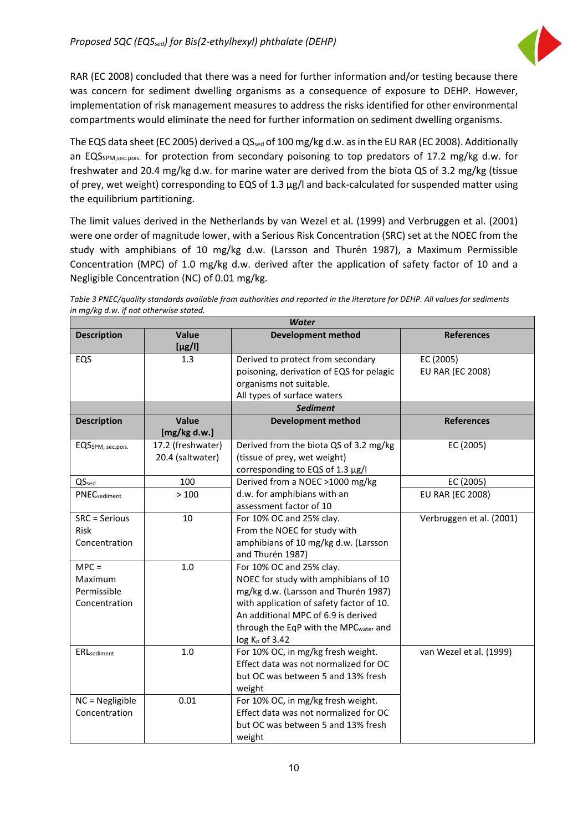

RAR (EC 2008) concluded that there was a need for further information and/or testing because there was concern for sediment dwelling organisms as a consequence of exposure to DEHP. However, implementation of risk management measures to address the risks identified for other environmental compartments would eliminate the need for further information on sediment dwelling organisms.

The EQS data sheet (EC 2005) derived a QS<sub>sed</sub> of 100 mg/kg d.w. as in the EU RAR (EC 2008). Additionally an EQS<sub>SPM,sec.pois.</sub> for protection from secondary poisoning to top predators of 17.2 mg/kg d.w. for freshwater and 20.4 mg/kg d.w. for marine water are derived from the biota QS of 3.2 mg/kg (tissue of prey, wet weight) corresponding to EQS of 1.3 μg/l and back-calculated for suspended matter using the equilibrium partitioning.

The limit values derived in the Netherlands by van Wezel et al. (1999) and Verbruggen et al. (2001) were one order of magnitude lower, with a Serious Risk Concentration (SRC) set at the NOEC from the study with amphibians of 10 mg/kg d.w. (Larsson and Thurén 1987), a Maximum Permissible Concentration (MPC) of 1.0 mg/kg d.w. derived after the application of safety factor of 10 and a Negligible Concentration (NC) of 0.01 mg/kg.

*Table 3 PNEC/quality standards available from authorities and reported in the literature for DEHP. All values for sediments in mg/kg d.w. if not otherwise stated.*

| <b>Water</b>                                       |                                       |                                                                                                                                                                                                                                                          |                                      |  |  |  |  |
|----------------------------------------------------|---------------------------------------|----------------------------------------------------------------------------------------------------------------------------------------------------------------------------------------------------------------------------------------------------------|--------------------------------------|--|--|--|--|
| <b>Description</b>                                 | Value<br>$[\mu$ g/l]                  | <b>Development method</b>                                                                                                                                                                                                                                | <b>References</b>                    |  |  |  |  |
| EQS                                                | 1.3                                   | Derived to protect from secondary<br>poisoning, derivation of EQS for pelagic<br>organisms not suitable.<br>All types of surface waters                                                                                                                  | EC (2005)<br><b>EU RAR (EC 2008)</b> |  |  |  |  |
|                                                    |                                       | <b>Sediment</b>                                                                                                                                                                                                                                          |                                      |  |  |  |  |
| <b>Description</b>                                 | Value<br>[mg/kg d.w.]                 | <b>Development method</b>                                                                                                                                                                                                                                | <b>References</b>                    |  |  |  |  |
| EQS <sub>SPM</sub> , sec.pois.                     | 17.2 (freshwater)<br>20.4 (saltwater) | Derived from the biota QS of 3.2 mg/kg<br>(tissue of prey, wet weight)<br>corresponding to EQS of 1.3 µg/l                                                                                                                                               | EC (2005)                            |  |  |  |  |
| QS <sub>sed</sub>                                  | 100                                   | Derived from a NOEC >1000 mg/kg                                                                                                                                                                                                                          | EC (2005)                            |  |  |  |  |
| <b>PNEC</b> sediment                               | >100                                  | d.w. for amphibians with an<br>assessment factor of 10                                                                                                                                                                                                   | <b>EU RAR (EC 2008)</b>              |  |  |  |  |
| SRC = Serious<br>Risk<br>Concentration             | 10                                    | For 10% OC and 25% clay.<br>From the NOEC for study with<br>amphibians of 10 mg/kg d.w. (Larsson<br>and Thurén 1987)                                                                                                                                     | Verbruggen et al. (2001)             |  |  |  |  |
| $MPC =$<br>Maximum<br>Permissible<br>Concentration | 1.0                                   | For 10% OC and 25% clay.<br>NOEC for study with amphibians of 10<br>mg/kg d.w. (Larsson and Thurén 1987)<br>with application of safety factor of 10.<br>An additional MPC of 6.9 is derived<br>through the EqP with the MPCwater and<br>$log Kp$ of 3.42 |                                      |  |  |  |  |
| <b>ERL</b> sediment                                | 1.0                                   | For 10% OC, in mg/kg fresh weight.<br>Effect data was not normalized for OC<br>but OC was between 5 and 13% fresh<br>weight                                                                                                                              | van Wezel et al. (1999)              |  |  |  |  |
| NC = Negligible<br>Concentration                   | 0.01                                  | For 10% OC, in mg/kg fresh weight.<br>Effect data was not normalized for OC<br>but OC was between 5 and 13% fresh<br>weight                                                                                                                              |                                      |  |  |  |  |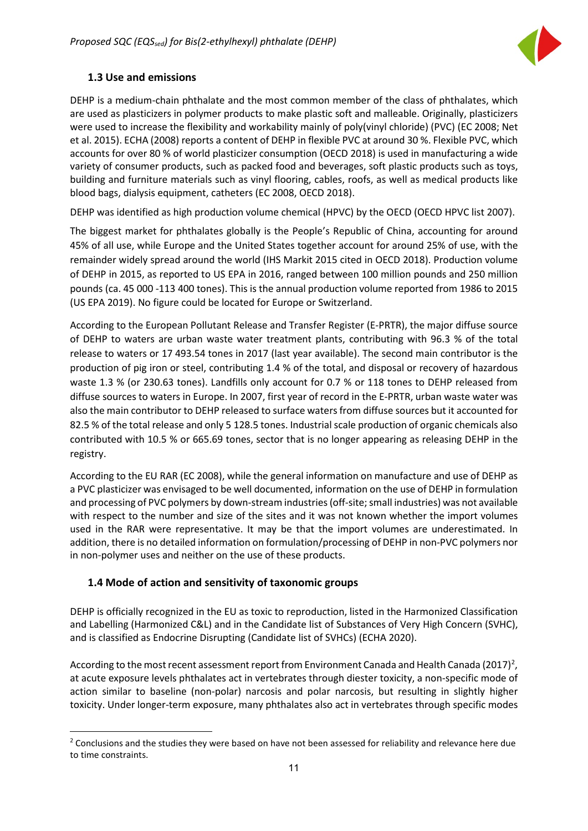

#### <span id="page-11-0"></span>**1.3 Use and emissions**

DEHP is a medium-chain phthalate and the most common member of the class of phthalates, which are used as plasticizers in polymer products to make plastic soft and malleable. Originally, plasticizers were used to increase the flexibility and workability mainly of poly(vinyl chloride) (PVC) (EC 2008; Net et al. 2015). ECHA (2008) reports a content of DEHP in flexible PVC at around 30 %. Flexible PVC, which accounts for over 80 % of world plasticizer consumption (OECD 2018) is used in manufacturing a wide variety of consumer products, such as packed food and beverages, soft plastic products such as toys, building and furniture materials such as vinyl flooring, cables, roofs, as well as medical products like blood bags, dialysis equipment, catheters (EC 2008, OECD 2018).

DEHP was identified as high production volume chemical (HPVC) by the OECD (OECD HPVC list 2007).

The biggest market for phthalates globally is the People's Republic of China, accounting for around 45% of all use, while Europe and the United States together account for around 25% of use, with the remainder widely spread around the world (IHS Markit 2015 cited in OECD 2018). Production volume of DEHP in 2015, as reported to US EPA in 2016, ranged between 100 million pounds and 250 million pounds (ca. 45 000 -113 400 tones). This is the annual production volume reported from 1986 to 2015 (US EPA 2019). No figure could be located for Europe or Switzerland.

According to the European Pollutant Release and Transfer Register (E-PRTR), the major diffuse source of DEHP to waters are urban waste water treatment plants, contributing with 96.3 % of the total release to waters or 17 493.54 tones in 2017 (last year available). The second main contributor is the production of pig iron or steel, contributing 1.4 % of the total, and disposal or recovery of hazardous waste 1.3 % (or 230.63 tones). Landfills only account for 0.7 % or 118 tones to DEHP released from diffuse sources to waters in Europe. In 2007, first year of record in the E-PRTR, urban waste water was also the main contributor to DEHP released to surface waters from diffuse sources but it accounted for 82.5 % of the total release and only 5 128.5 tones. Industrial scale production of organic chemicals also contributed with 10.5 % or 665.69 tones, sector that is no longer appearing as releasing DEHP in the registry.

According to the EU RAR (EC 2008), while the general information on manufacture and use of DEHP as a PVC plasticizer was envisaged to be well documented, information on the use of DEHP in formulation and processing of PVC polymers by down-stream industries (off-site; small industries) was not available with respect to the number and size of the sites and it was not known whether the import volumes used in the RAR were representative. It may be that the import volumes are underestimated. In addition, there is no detailed information on formulation/processing of DEHP in non-PVC polymers nor in non-polymer uses and neither on the use of these products.

#### <span id="page-11-1"></span>**1.4 Mode of action and sensitivity of taxonomic groups**

DEHP is officially recognized in the EU as toxic to reproduction, listed in the Harmonized Classification and Labelling (Harmonized C&L) and in the Candidate list of Substances of Very High Concern (SVHC), and is classified as Endocrine Disrupting (Candidate list of SVHCs) (ECHA 2020).

According to the most recent assessment report from Environment Canada and Health Canada ([2](#page-11-2)017)<sup>2</sup>, at acute exposure levels phthalates act in vertebrates through diester toxicity, a non-specific mode of action similar to baseline (non-polar) narcosis and polar narcosis, but resulting in slightly higher toxicity. Under longer-term exposure, many phthalates also act in vertebrates through specific modes

<span id="page-11-2"></span><sup>&</sup>lt;sup>2</sup> Conclusions and the studies they were based on have not been assessed for reliability and relevance here due to time constraints.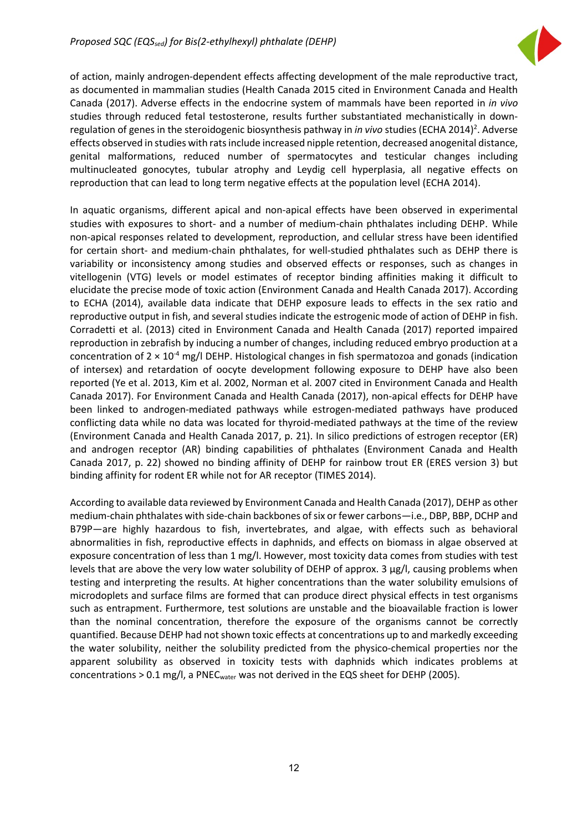

of action, mainly androgen-dependent effects affecting development of the male reproductive tract, as documented in mammalian studies (Health Canada 2015 cited in Environment Canada and Health Canada (2017). Adverse effects in the endocrine system of mammals have been reported in *in vivo* studies through reduced fetal testosterone, results further substantiated mechanistically in downregulation of genes in the steroidogenic biosynthesis pathway in *in vivo* studies (ECHA 2014)<sup>2</sup>. Adverse effects observed in studies with rats include increased nipple retention, decreased anogenital distance, genital malformations, reduced number of spermatocytes and testicular changes including multinucleated gonocytes, tubular atrophy and Leydig cell hyperplasia, all negative effects on reproduction that can lead to long term negative effects at the population level (ECHA 2014).

In aquatic organisms, different apical and non-apical effects have been observed in experimental studies with exposures to short- and a number of medium-chain phthalates including DEHP. While non-apical responses related to development, reproduction, and cellular stress have been identified for certain short- and medium-chain phthalates, for well-studied phthalates such as DEHP there is variability or inconsistency among studies and observed effects or responses, such as changes in vitellogenin (VTG) levels or model estimates of receptor binding affinities making it difficult to elucidate the precise mode of toxic action (Environment Canada and Health Canada 2017). According to ECHA (2014), available data indicate that DEHP exposure leads to effects in the sex ratio and reproductive output in fish, and several studies indicate the estrogenic mode of action of DEHP in fish. Corradetti et al. (2013) cited in Environment Canada and Health Canada (2017) reported impaired reproduction in zebrafish by inducing a number of changes, including reduced embryo production at a concentration of  $2 \times 10^{-4}$  mg/l DEHP. Histological changes in fish spermatozoa and gonads (indication of intersex) and retardation of oocyte development following exposure to DEHP have also been reported (Ye et al. 2013, Kim et al. 2002, Norman et al. 2007 cited in Environment Canada and Health Canada 2017). For Environment Canada and Health Canada (2017), non-apical effects for DEHP have been linked to androgen-mediated pathways while estrogen-mediated pathways have produced conflicting data while no data was located for thyroid-mediated pathways at the time of the review (Environment Canada and Health Canada 2017, p. 21). In silico predictions of estrogen receptor (ER) and androgen receptor (AR) binding capabilities of phthalates (Environment Canada and Health Canada 2017, p. 22) showed no binding affinity of DEHP for rainbow trout ER (ERES version 3) but binding affinity for rodent ER while not for AR receptor (TIMES 2014).

According to available data reviewed by Environment Canada and Health Canada (2017), DEHP as other medium-chain phthalates with side-chain backbones of six or fewer carbons—i.e., DBP, BBP, DCHP and B79P—are highly hazardous to fish, invertebrates, and algae, with effects such as behavioral abnormalities in fish, reproductive effects in daphnids, and effects on biomass in algae observed at exposure concentration of less than 1 mg/l. However, most toxicity data comes from studies with test levels that are above the very low water solubility of DEHP of approx. 3 µg/l, causing problems when testing and interpreting the results. At higher concentrations than the water solubility emulsions of microdoplets and surface films are formed that can produce direct physical effects in test organisms such as entrapment. Furthermore, test solutions are unstable and the bioavailable fraction is lower than the nominal concentration, therefore the exposure of the organisms cannot be correctly quantified. Because DEHP had not shown toxic effects at concentrations up to and markedly exceeding the water solubility, neither the solubility predicted from the physico-chemical properties nor the apparent solubility as observed in toxicity tests with daphnids which indicates problems at concentrations  $> 0.1$  mg/l, a PNEC<sub>water</sub> was not derived in the EQS sheet for DEHP (2005).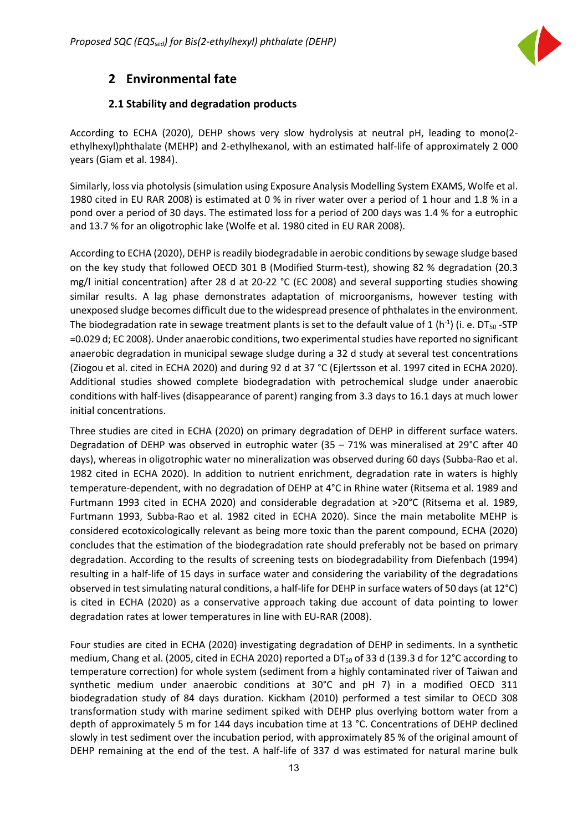

### <span id="page-13-0"></span>**2 Environmental fate**

#### **2.1 Stability and degradation products**

<span id="page-13-1"></span>According to ECHA (2020), DEHP shows very slow hydrolysis at neutral pH, leading to mono(2 ethylhexyl)phthalate (MEHP) and 2-ethylhexanol, with an estimated half-life of approximately 2 000 years (Giam et al. 1984).

Similarly, loss via photolysis (simulation using Exposure Analysis Modelling System EXAMS, Wolfe et al. 1980 cited in EU RAR 2008) is estimated at 0 % in river water over a period of 1 hour and 1.8 % in a pond over a period of 30 days. The estimated loss for a period of 200 days was 1.4 % for a eutrophic and 13.7 % for an oligotrophic lake (Wolfe et al. 1980 cited in EU RAR 2008).

According to ECHA (2020), DEHP is readily biodegradable in aerobic conditions by sewage sludge based on the key study that followed OECD 301 B (Modified Sturm-test), showing 82 % degradation (20.3 mg/l initial concentration) after 28 d at 20-22 °C (EC 2008) and several supporting studies showing similar results. A lag phase demonstrates adaptation of microorganisms, however testing with unexposed sludge becomes difficult due to the widespread presence of phthalates in the environment. The biodegradation rate in sewage treatment plants is set to the default value of 1 (h<sup>-1</sup>) (i. e. DT<sub>50</sub> -STP =0.029 d; EC 2008). Under anaerobic conditions, two experimental studies have reported no significant anaerobic degradation in municipal sewage sludge during a 32 d study at several test concentrations (Ziogou et al. cited in ECHA 2020) and during 92 d at 37 °C (Ejlertsson et al. 1997 cited in ECHA 2020). Additional studies showed complete biodegradation with petrochemical sludge under anaerobic conditions with half-lives (disappearance of parent) ranging from 3.3 days to 16.1 days at much lower initial concentrations.

Three studies are cited in ECHA (2020) on primary degradation of DEHP in different surface waters. Degradation of DEHP was observed in eutrophic water (35 – 71% was mineralised at 29°C after 40 days), whereas in oligotrophic water no mineralization was observed during 60 days (Subba-Rao et al. 1982 cited in ECHA 2020). In addition to nutrient enrichment, degradation rate in waters is highly temperature-dependent, with no degradation of DEHP at 4°C in Rhine water (Ritsema et al. 1989 and Furtmann 1993 cited in ECHA 2020) and considerable degradation at >20°C (Ritsema et al. 1989, Furtmann 1993, Subba-Rao et al. 1982 cited in ECHA 2020). Since the main metabolite MEHP is considered ecotoxicologically relevant as being more toxic than the parent compound, ECHA (2020) concludes that the estimation of the biodegradation rate should preferably not be based on primary degradation. According to the results of screening tests on biodegradability from Diefenbach (1994) resulting in a half-life of 15 days in surface water and considering the variability of the degradations observed in test simulating natural conditions, a half-life for DEHP in surface waters of 50 days (at 12°C) is cited in ECHA (2020) as a conservative approach taking due account of data pointing to lower degradation rates at lower temperatures in line with EU-RAR (2008).

Four studies are cited in ECHA (2020) investigating degradation of DEHP in sediments. In a synthetic medium, Chang et al. (2005, cited in ECHA 2020) reported a DT<sub>50</sub> of 33 d (139.3 d for 12°C according to temperature correction) for whole system (sediment from a highly contaminated river of Taiwan and synthetic medium under anaerobic conditions at 30°C and pH 7) in a modified OECD 311 biodegradation study of 84 days duration. Kickham (2010) performed a test similar to OECD 308 transformation study with marine sediment spiked with DEHP plus overlying bottom water from a depth of approximately 5 m for 144 days incubation time at 13 °C. Concentrations of DEHP declined slowly in test sediment over the incubation period, with approximately 85 % of the original amount of DEHP remaining at the end of the test. A half-life of 337 d was estimated for natural marine bulk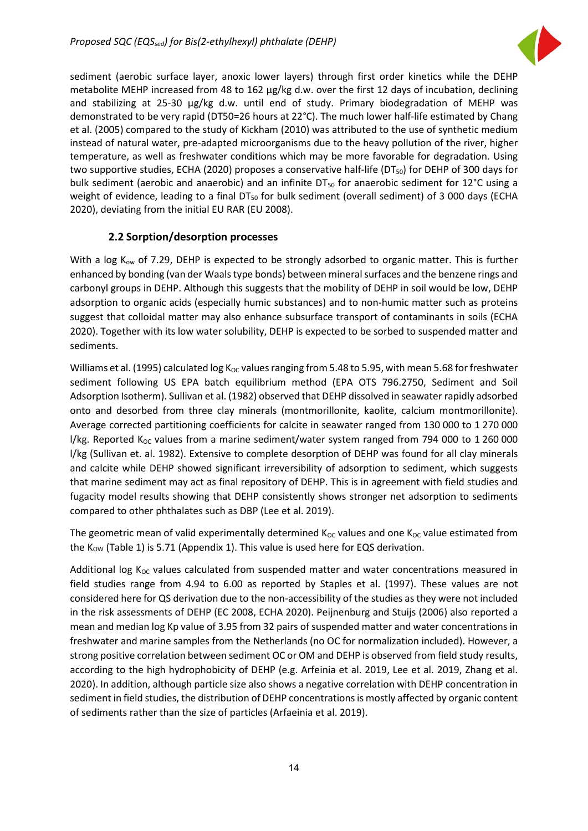

sediment (aerobic surface layer, anoxic lower layers) through first order kinetics while the DEHP metabolite MEHP increased from 48 to 162 µg/kg d.w. over the first 12 days of incubation, declining and stabilizing at 25-30 µg/kg d.w. until end of study. Primary biodegradation of MEHP was demonstrated to be very rapid (DT50=26 hours at 22°C). The much lower half-life estimated by Chang et al. (2005) compared to the study of Kickham (2010) was attributed to the use of synthetic medium instead of natural water, pre-adapted microorganisms due to the heavy pollution of the river, higher temperature, as well as freshwater conditions which may be more favorable for degradation. Using two supportive studies, ECHA (2020) proposes a conservative half-life (DT<sub>50</sub>) for DEHP of 300 days for bulk sediment (aerobic and anaerobic) and an infinite  $DT_{50}$  for anaerobic sediment for 12 $^{\circ}$ C using a weight of evidence, leading to a final  $DT_{50}$  for bulk sediment (overall sediment) of 3 000 days (ECHA 2020), deviating from the initial EU RAR (EU 2008).

#### **2.2 Sorption/desorption processes**

<span id="page-14-0"></span>With a log  $K_{ow}$  of 7.29, DEHP is expected to be strongly adsorbed to organic matter. This is further enhanced by bonding (van der Waals type bonds) between mineral surfaces and the benzene rings and carbonyl groups in DEHP. Although this suggests that the mobility of DEHP in soil would be low, DEHP adsorption to organic acids (especially humic substances) and to non-humic matter such as proteins suggest that colloidal matter may also enhance subsurface transport of contaminants in soils (ECHA 2020). Together with its low water solubility, DEHP is expected to be sorbed to suspended matter and sediments.

Williams et al. (1995) calculated log K<sub>OC</sub> values ranging from 5.48 to 5.95, with mean 5.68 for freshwater sediment following US EPA batch equilibrium method (EPA OTS 796.2750, Sediment and Soil Adsorption Isotherm). Sullivan et al. (1982) observed that DEHP dissolved in seawater rapidly adsorbed onto and desorbed from three clay minerals (montmorillonite, kaolite, calcium montmorillonite). Average corrected partitioning coefficients for calcite in seawater ranged from 130 000 to 1 270 000 l/kg. Reported  $K_{\text{OC}}$  values from a marine sediment/water system ranged from 794 000 to 1 260 000 l/kg (Sullivan et. al. 1982). Extensive to complete desorption of DEHP was found for all clay minerals and calcite while DEHP showed significant irreversibility of adsorption to sediment, which suggests that marine sediment may act as final repository of DEHP. This is in agreement with field studies and fugacity model results showing that DEHP consistently shows stronger net adsorption to sediments compared to other phthalates such as DBP (Lee et al. 2019).

The geometric mean of valid experimentally determined  $K_{OC}$  values and one  $K_{OC}$  value estimated from the  $K_{OW}$  (Table 1) is 5.71 (Appendix 1). This value is used here for EQS derivation.

Additional log  $K_{OC}$  values calculated from suspended matter and water concentrations measured in field studies range from 4.94 to 6.00 as reported by Staples et al. (1997). These values are not considered here for QS derivation due to the non-accessibility of the studies as they were not included in the risk assessments of DEHP (EC 2008, ECHA 2020). Peijnenburg and Stuijs (2006) also reported a mean and median log Kp value of 3.95 from 32 pairs of suspended matter and water concentrations in freshwater and marine samples from the Netherlands (no OC for normalization included). However, a strong positive correlation between sediment OC or OM and DEHP is observed from field study results, according to the high hydrophobicity of DEHP (e.g. Arfeinia et al. 2019, Lee et al. 2019, Zhang et al. 2020). In addition, although particle size also shows a negative correlation with DEHP concentration in sediment in field studies, the distribution of DEHP concentrations is mostly affected by organic content of sediments rather than the size of particles (Arfaeinia et al. 2019).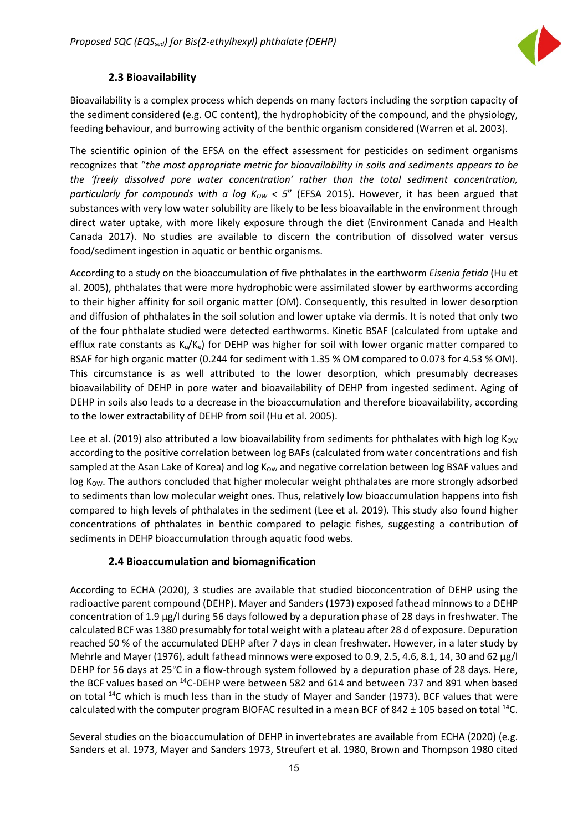

#### **2.3 Bioavailability**

<span id="page-15-0"></span>Bioavailability is a complex process which depends on many factors including the sorption capacity of the sediment considered (e.g. OC content), the hydrophobicity of the compound, and the physiology, feeding behaviour, and burrowing activity of the benthic organism considered (Warren et al. 2003).

The scientific opinion of the EFSA on the effect assessment for pesticides on sediment organisms recognizes that "*the most appropriate metric for bioavailability in soils and sediments appears to be the 'freely dissolved pore water concentration' rather than the total sediment concentration, particularly for compounds with a log K<sub>ow</sub> < 5" (EFSA 2015). However, it has been argued that* substances with very low water solubility are likely to be less bioavailable in the environment through direct water uptake, with more likely exposure through the diet (Environment Canada and Health Canada 2017). No studies are available to discern the contribution of dissolved water versus food/sediment ingestion in aquatic or benthic organisms.

According to a study on the bioaccumulation of five phthalates in the earthworm *Eisenia fetida* (Hu et al. 2005), phthalates that were more hydrophobic were assimilated slower by earthworms according to their higher affinity for soil organic matter (OM). Consequently, this resulted in lower desorption and diffusion of phthalates in the soil solution and lower uptake via dermis. It is noted that only two of the four phthalate studied were detected earthworms. Kinetic BSAF (calculated from uptake and efflux rate constants as  $K_u/K_e$ ) for DEHP was higher for soil with lower organic matter compared to BSAF for high organic matter (0.244 for sediment with 1.35 % OM compared to 0.073 for 4.53 % OM). This circumstance is as well attributed to the lower desorption, which presumably decreases bioavailability of DEHP in pore water and bioavailability of DEHP from ingested sediment. Aging of DEHP in soils also leads to a decrease in the bioaccumulation and therefore bioavailability, according to the lower extractability of DEHP from soil (Hu et al. 2005).

Lee et al. (2019) also attributed a low bioavailability from sediments for phthalates with high log  $K_{\text{OW}}$ according to the positive correlation between log BAFs (calculated from water concentrations and fish sampled at the Asan Lake of Korea) and log  $K_{OW}$  and negative correlation between log BSAF values and log K<sub>ow</sub>. The authors concluded that higher molecular weight phthalates are more strongly adsorbed to sediments than low molecular weight ones. Thus, relatively low bioaccumulation happens into fish compared to high levels of phthalates in the sediment (Lee et al. 2019). This study also found higher concentrations of phthalates in benthic compared to pelagic fishes, suggesting a contribution of sediments in DEHP bioaccumulation through aquatic food webs.

#### **2.4 Bioaccumulation and biomagnification**

<span id="page-15-1"></span>According to ECHA (2020), 3 studies are available that studied bioconcentration of DEHP using the radioactive parent compound (DEHP). Mayer and Sanders (1973) exposed fathead minnows to a DEHP concentration of 1.9 μg/l during 56 days followed by a depuration phase of 28 days in freshwater. The calculated BCF was 1380 presumably for total weight with a plateau after 28 d of exposure. Depuration reached 50 % of the accumulated DEHP after 7 days in clean freshwater. However, in a later study by Mehrle and Mayer (1976), adult fathead minnows were exposed to 0.9, 2.5, 4.6, 8.1, 14, 30 and 62 μg/l DEHP for 56 days at 25°C in a flow-through system followed by a depuration phase of 28 days. Here, the BCF values based on 14C-DEHP were between 582 and 614 and between 737 and 891 when based on total  $14C$  which is much less than in the study of Mayer and Sander (1973). BCF values that were calculated with the computer program BIOFAC resulted in a mean BCF of 842  $\pm$  105 based on total <sup>14</sup>C.

Several studies on the bioaccumulation of DEHP in invertebrates are available from ECHA (2020) (e.g. Sanders et al. 1973, Mayer and Sanders 1973, Streufert et al. 1980, Brown and Thompson 1980 cited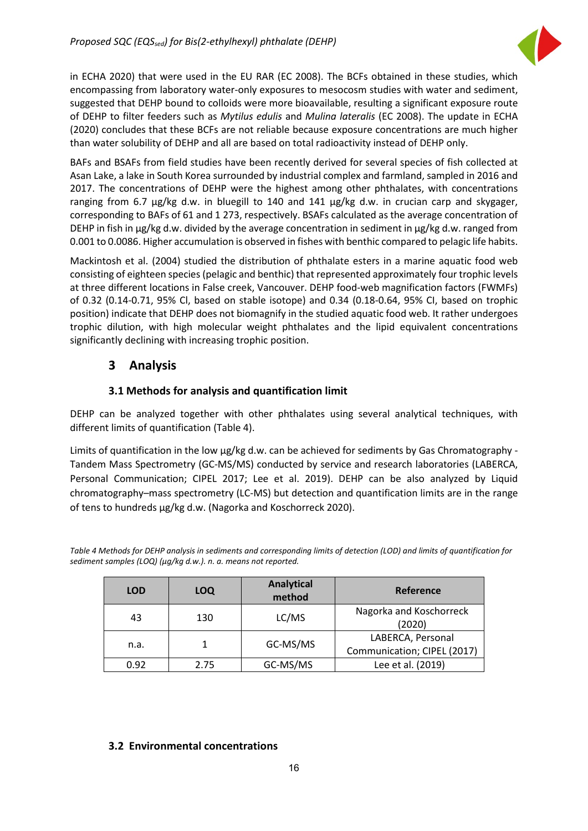

in ECHA 2020) that were used in the EU RAR (EC 2008). The BCFs obtained in these studies, which encompassing from laboratory water-only exposures to mesocosm studies with water and sediment, suggested that DEHP bound to colloids were more bioavailable, resulting a significant exposure route of DEHP to filter feeders such as *Mytilus edulis* and *Mulina lateralis* (EC 2008). The update in ECHA (2020) concludes that these BCFs are not reliable because exposure concentrations are much higher than water solubility of DEHP and all are based on total radioactivity instead of DEHP only.

BAFs and BSAFs from field studies have been recently derived for several species of fish collected at Asan Lake, a lake in South Korea surrounded by industrial complex and farmland, sampled in 2016 and 2017. The concentrations of DEHP were the highest among other phthalates, with concentrations ranging from 6.7 μg/kg d.w. in bluegill to 140 and 141 μg/kg d.w. in crucian carp and skygager, corresponding to BAFs of 61 and 1 273, respectively. BSAFs calculated as the average concentration of DEHP in fish in μg/kg d.w. divided by the average concentration in sediment in μg/kg d.w. ranged from 0.001 to 0.0086. Higher accumulation is observed in fishes with benthic compared to pelagic life habits.

Mackintosh et al. (2004) studied the distribution of phthalate esters in a marine aquatic food web consisting of eighteen species (pelagic and benthic) that represented approximately four trophic levels at three different locations in False creek, Vancouver. DEHP food-web magnification factors (FWMFs) of 0.32 (0.14-0.71, 95% Cl, based on stable isotope) and 0.34 (0.18-0.64, 95% CI, based on trophic position) indicate that DEHP does not biomagnify in the studied aquatic food web. It rather undergoes trophic dilution, with high molecular weight phthalates and the lipid equivalent concentrations significantly declining with increasing trophic position.

### <span id="page-16-0"></span>**3 Analysis**

#### **3.1 Methods for analysis and quantification limit**

<span id="page-16-1"></span>DEHP can be analyzed together with other phthalates using several analytical techniques, with different limits of quantification (Table 4).

Limits of quantification in the low  $\mu g/kg$  d.w. can be achieved for sediments by Gas Chromatography -Tandem Mass Spectrometry (GC-MS/MS) conducted by service and research laboratories (LABERCA, Personal Communication; CIPEL 2017; Lee et al. 2019). DEHP can be also analyzed by Liquid chromatography–mass spectrometry (LC-MS) but detection and quantification limits are in the range of tens to hundreds µg/kg d.w. (Nagorka and Koschorreck 2020).

*Table 4 Methods for DEHP analysis in sediments and corresponding limits of detection (LOD) and limits of quantification for sediment samples (LOQ) (µg/kg d.w.). n. a. means not reported.*

| <b>LOD</b> | LOQ  | <b>Analytical</b><br>method | <b>Reference</b>                                 |
|------------|------|-----------------------------|--------------------------------------------------|
| 43         | 130  | LC/MS                       | Nagorka and Koschorreck<br>(2020)                |
| n.a.       |      | GC-MS/MS                    | LABERCA, Personal<br>Communication; CIPEL (2017) |
| 0.92       | 2.75 | GC-MS/MS                    | Lee et al. (2019)                                |

#### <span id="page-16-2"></span>**3.2 Environmental concentrations**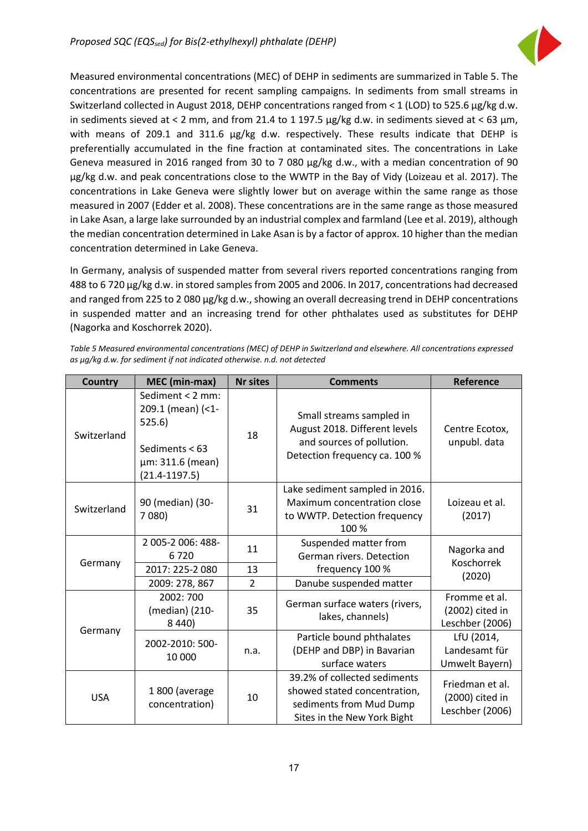

Measured environmental concentrations (MEC) of DEHP in sediments are summarized in Table 5. The concentrations are presented for recent sampling campaigns. In sediments from small streams in Switzerland collected in August 2018, DEHP concentrations ranged from < 1 (LOD) to 525.6 µg/kg d.w. in sediments sieved at < 2 mm, and from 21.4 to 1 197.5  $\mu$ g/kg d.w. in sediments sieved at < 63  $\mu$ m, with means of 209.1 and 311.6 µg/kg d.w. respectively. These results indicate that DEHP is preferentially accumulated in the fine fraction at contaminated sites. The concentrations in Lake Geneva measured in 2016 ranged from 30 to 7 080 µg/kg d.w., with a median concentration of 90 µg/kg d.w. and peak concentrations close to the WWTP in the Bay of Vidy (Loizeau et al. 2017). The concentrations in Lake Geneva were slightly lower but on average within the same range as those measured in 2007 (Edder et al. 2008). These concentrations are in the same range as those measured in Lake Asan, a large lake surrounded by an industrial complex and farmland (Lee et al. 2019), although the median concentration determined in Lake Asan is by a factor of approx. 10 higher than the median concentration determined in Lake Geneva.

In Germany, analysis of suspended matter from several rivers reported concentrations ranging from 488 to 6 720 µg/kg d.w. in stored samples from 2005 and 2006. In 2017, concentrations had decreased and ranged from 225 to 2 080 µg/kg d.w., showing an overall decreasing trend in DEHP concentrations in suspended matter and an increasing trend for other phthalates used as substitutes for DEHP (Nagorka and Koschorrek 2020).

| <b>Country</b> | MEC (min-max)                                                                                                | <b>Nr sites</b>                                          | <b>Comments</b>                                                                                                         | Reference                                             |  |  |
|----------------|--------------------------------------------------------------------------------------------------------------|----------------------------------------------------------|-------------------------------------------------------------------------------------------------------------------------|-------------------------------------------------------|--|--|
| Switzerland    | Sediment < 2 mm:<br>209.1 (mean) (<1-<br>525.6)<br>Sediments $< 63$<br>µm: 311.6 (mean)<br>$(21.4 - 1197.5)$ | 18                                                       | Small streams sampled in<br>August 2018. Different levels<br>and sources of pollution.<br>Detection frequency ca. 100 % | Centre Ecotox,<br>unpubl. data                        |  |  |
| Switzerland    | 90 (median) (30-<br>7 080)                                                                                   | 31                                                       | Lake sediment sampled in 2016.<br>Maximum concentration close<br>to WWTP. Detection frequency<br>100 %                  | Loizeau et al.<br>(2017)                              |  |  |
| Germany        | 2 005-2 006: 488-<br>11<br>6720                                                                              |                                                          | Suspended matter from<br>German rivers. Detection                                                                       | Nagorka and<br><b>Koschorrek</b>                      |  |  |
|                | 2017: 225-2 080                                                                                              | 13                                                       | frequency 100 %                                                                                                         | (2020)                                                |  |  |
|                | 2009: 278, 867                                                                                               | 2                                                        | Danube suspended matter                                                                                                 |                                                       |  |  |
|                | 2002: 700<br>(median) (210-<br>8 4 4 0 )                                                                     | German surface waters (rivers,<br>35<br>lakes, channels) |                                                                                                                         | Fromme et al.<br>(2002) cited in<br>Leschber (2006)   |  |  |
| Germany        | 2002-2010: 500-<br>10 000                                                                                    | n.a.                                                     | Particle bound phthalates<br>(DEHP and DBP) in Bavarian<br>surface waters                                               | LfU (2014,<br>Landesamt für<br>Umwelt Bayern)         |  |  |
| <b>USA</b>     | 1800 (average<br>concentration)                                                                              | 10                                                       | 39.2% of collected sediments<br>showed stated concentration,<br>sediments from Mud Dump<br>Sites in the New York Bight  | Friedman et al.<br>(2000) cited in<br>Leschber (2006) |  |  |

*Table 5 Measured environmental concentrations (MEC) of DEHP in Switzerland and elsewhere. All concentrations expressed as µg/kg d.w. for sediment if not indicated otherwise. n.d. not detected*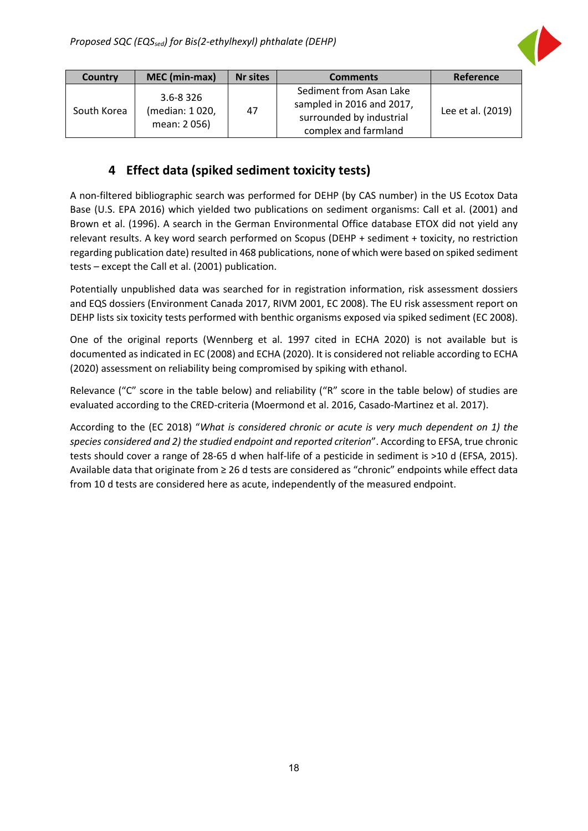

| Country     | MEC (min-max)                                  | <b>Nr sites</b> | <b>Comments</b>                                                                                          | Reference         |
|-------------|------------------------------------------------|-----------------|----------------------------------------------------------------------------------------------------------|-------------------|
| South Korea | $3.6 - 8.326$<br>(median: 1020,<br>mean: 2056) | 47              | Sediment from Asan Lake<br>sampled in 2016 and 2017,<br>surrounded by industrial<br>complex and farmland | Lee et al. (2019) |

## **4 Effect data (spiked sediment toxicity tests)**

<span id="page-18-0"></span>A non-filtered bibliographic search was performed for DEHP (by CAS number) in the US Ecotox Data Base (U.S. EPA 2016) which yielded two publications on sediment organisms: Call et al. (2001) and Brown et al. (1996). A search in the German Environmental Office database ETOX did not yield any relevant results. A key word search performed on Scopus (DEHP + sediment + toxicity, no restriction regarding publication date) resulted in 468 publications, none of which were based on spiked sediment tests – except the Call et al. (2001) publication.

Potentially unpublished data was searched for in registration information, risk assessment dossiers and EQS dossiers (Environment Canada 2017, RIVM 2001, EC 2008). The EU risk assessment report on DEHP lists six toxicity tests performed with benthic organisms exposed via spiked sediment (EC 2008).

One of the original reports (Wennberg et al. 1997 cited in ECHA 2020) is not available but is documented as indicated in EC (2008) and ECHA (2020). It is considered not reliable according to ECHA (2020) assessment on reliability being compromised by spiking with ethanol.

Relevance ("C" score in the table below) and reliability ("R" score in the table below) of studies are evaluated according to the CRED-criteria (Moermond et al. 2016, Casado-Martinez et al. 2017).

According to the (EC 2018) "*What is considered chronic or acute is very much dependent on 1) the species considered and 2) the studied endpoint and reported criterion*". According to EFSA, true chronic tests should cover a range of 28-65 d when half-life of a pesticide in sediment is >10 d (EFSA, 2015). Available data that originate from ≥ 26 d tests are considered as "chronic" endpoints while effect data from 10 d tests are considered here as acute, independently of the measured endpoint.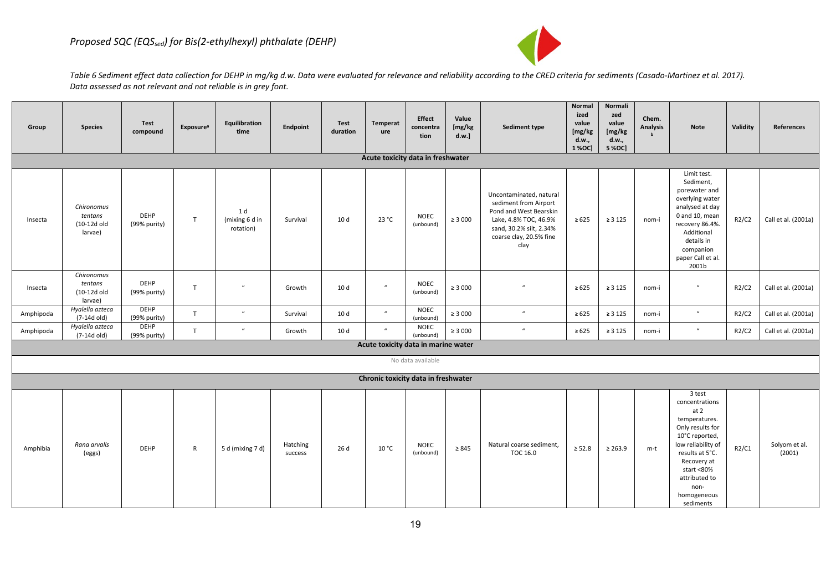

Table 6 Sediment effect data collection for DEHP in mg/kg d.w. Data were evaluated for relevance and reliability according to the CRED criteria for sediments (Casado-Martinez et al. 2017). *Data assessed as not relevant and not reliable is in grey font.* 

| Group     | <b>Species</b>                                  | Test<br>compound            | <b>Exposure</b> <sup>a</sup> | Equilibration<br>time              | Endpoint            | Test<br>duration | Temperat<br>ure<br>Acute toxicity data in freshwater | <b>Effect</b><br>concentra<br>tion | Value<br>[mg/kg<br>d.w.] | Sediment type                                                                                                                                                     | Normal<br>ized<br>value<br>[mg/kg]<br>d.w.,<br>1 % OC | Normali<br>zed<br>value<br>[mg/kg<br>d.w.,<br>5 % OC] | Chem.<br><b>Analysis</b> | <b>Note</b>                                                                                                                                                                                                        | Validity | References              |
|-----------|-------------------------------------------------|-----------------------------|------------------------------|------------------------------------|---------------------|------------------|------------------------------------------------------|------------------------------------|--------------------------|-------------------------------------------------------------------------------------------------------------------------------------------------------------------|-------------------------------------------------------|-------------------------------------------------------|--------------------------|--------------------------------------------------------------------------------------------------------------------------------------------------------------------------------------------------------------------|----------|-------------------------|
| Insecta   | Chironomus<br>tentans<br>(10-12d old<br>larvae) | <b>DEHP</b><br>(99% purity) | T                            | 1 d<br>(mixing 6 d in<br>rotation) | Survival            | 10 <sub>d</sub>  | 23 °C                                                | <b>NOEC</b><br>(unbound)           | $\geq 3000$              | Uncontaminated, natural<br>sediment from Airport<br>Pond and West Bearskin<br>Lake, 4.8% TOC, 46.9%<br>sand, 30.2% silt, 2.34%<br>coarse clay, 20.5% fine<br>clay | $\ge 625$                                             | $\geq 3125$                                           | nom-i                    | Limit test.<br>Sediment,<br>porewater and<br>overlying water<br>analysed at day<br>0 and 10, mean<br>recovery 86.4%.<br>Additional<br>details in<br>companion<br>paper Call et al.<br>2001b                        | R2/C2    | Call et al. (2001a)     |
| Insecta   | Chironomus<br>tentans<br>(10-12d old<br>larvae) | <b>DEHP</b><br>(99% purity) | T                            | $\boldsymbol{u}$                   | Growth              | 10 d             | $\mathbf{u}$                                         | <b>NOEC</b><br>(unbound)           | $\geq 3000$              | $\mathbf{u}$                                                                                                                                                      | $\geq 625$                                            | $\geq 3125$                                           | nom-i                    | $\boldsymbol{u}$                                                                                                                                                                                                   | R2/C2    | Call et al. (2001a)     |
| Amphipoda | Hyalella azteca<br>(7-14d old)                  | <b>DEHP</b><br>(99% purity) | T                            | $\boldsymbol{u}$                   | Survival            | 10 d             | $\mathbf{u}$                                         | <b>NOEC</b><br>(unbound)           | $\geq 3000$              | $\boldsymbol{u}$                                                                                                                                                  | $\geq 625$                                            | $\geq 3125$                                           | nom-i                    | $\boldsymbol{u}$                                                                                                                                                                                                   | R2/C2    | Call et al. (2001a)     |
| Amphipoda | Hyalella azteca<br>(7-14d old)                  | <b>DEHP</b><br>(99% purity) | T.                           | $\mathbf{u}$                       | Growth              | 10 d             | $\boldsymbol{u}$                                     | <b>NOEC</b><br>(unbound)           | $\geq 3000$              | $\boldsymbol{u}$                                                                                                                                                  | $\geq 625$                                            | $\geq 3125$                                           | nom-i                    | $\boldsymbol{u}$                                                                                                                                                                                                   | R2/C2    | Call et al. (2001a)     |
|           |                                                 |                             |                              |                                    |                     |                  | Acute toxicity data in marine water                  |                                    |                          |                                                                                                                                                                   |                                                       |                                                       |                          |                                                                                                                                                                                                                    |          |                         |
|           |                                                 |                             |                              |                                    |                     |                  |                                                      | No data available                  |                          |                                                                                                                                                                   |                                                       |                                                       |                          |                                                                                                                                                                                                                    |          |                         |
|           |                                                 |                             |                              |                                    |                     |                  | Chronic toxicity data in freshwater                  |                                    |                          |                                                                                                                                                                   |                                                       |                                                       |                          |                                                                                                                                                                                                                    |          |                         |
| Amphibia  | Rana arvalis<br>(eggs)                          | <b>DEHP</b>                 | $\mathsf{R}$                 | 5 d (mixing 7 d)                   | Hatching<br>success | 26 d             | 10 °C                                                | <b>NOEC</b><br>(unbound)           | $\geq 845$               | Natural coarse sediment,<br>TOC 16.0                                                                                                                              | $\geq 52.8$                                           | $\geq 263.9$                                          | m-t                      | 3 test<br>concentrations<br>at 2<br>temperatures.<br>Only results for<br>10°C reported,<br>low reliability of<br>results at 5°C.<br>Recovery at<br>start <80%<br>attributed to<br>non-<br>homogeneous<br>sediments | R2/C1    | Solyom et al.<br>(2001) |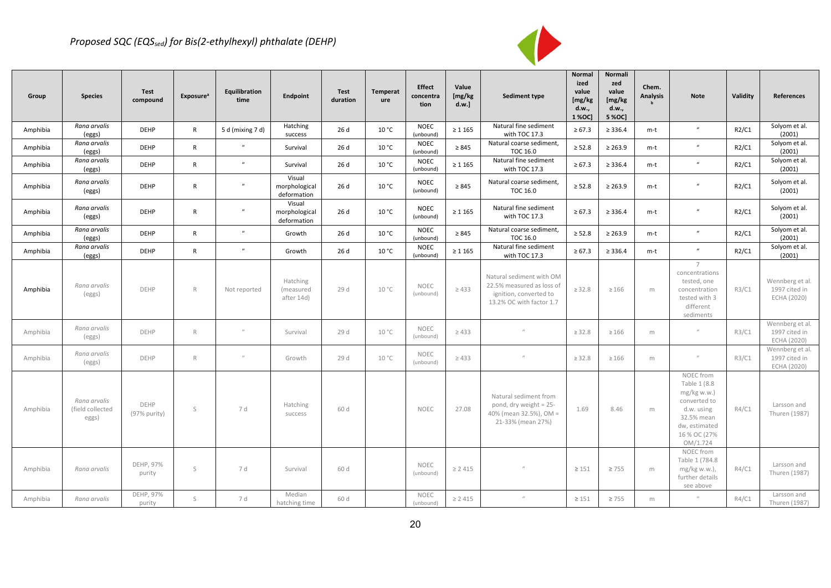

| Group    | <b>Species</b>                            | Test<br>compound     | <b>Exposure</b> <sup>a</sup> | Equilibration<br>time | Endpoint                               | Test<br>duration | <b>Temperat</b><br>ure | <b>Effect</b><br>concentra<br>tion | Value<br>[mg/kg]<br>d.w.] | Sediment type                                                                                               | Normal<br>ized<br>value<br>[mg/kg<br>d.w.,<br>1 % OC | Normali<br>zed<br>value<br>[mg/kg<br>d.w.,<br>5 % OC | Chem.<br><b>Analysis</b> | <b>Note</b>                                                                                                                         | Validity | References                                      |
|----------|-------------------------------------------|----------------------|------------------------------|-----------------------|----------------------------------------|------------------|------------------------|------------------------------------|---------------------------|-------------------------------------------------------------------------------------------------------------|------------------------------------------------------|------------------------------------------------------|--------------------------|-------------------------------------------------------------------------------------------------------------------------------------|----------|-------------------------------------------------|
| Amphibia | Rana arvalis<br>(eggs)                    | <b>DEHP</b>          | R                            | 5 d (mixing 7 d)      | Hatching<br>success                    | 26 d             | 10 °C                  | <b>NOEC</b><br>(unbound)           | $\geq 1165$               | Natural fine sediment<br>with TOC 17.3                                                                      | $\ge 67.3$                                           | $\geq 336.4$                                         | m-t                      | $\mathbf{u}$                                                                                                                        | R2/C1    | Solyom et al.<br>(2001)                         |
| Amphibia | Rana arvalis<br>(eggs)                    | <b>DEHP</b>          | R                            | $\mathbf{u}$          | Survival                               | 26 d             | 10 °C                  | <b>NOEC</b><br>(unbound)           | $\geq 845$                | Natural coarse sediment,<br>TOC 16.0                                                                        | $\geq 52.8$                                          | $\geq 263.9$                                         | m-t                      | $\mathbf{u}$                                                                                                                        | R2/C1    | Solyom et al.<br>(2001)                         |
| Amphibia | Rana arvalis<br>(eggs)                    | <b>DEHP</b>          | R                            | $\boldsymbol{u}$      | Survival                               | 26 d             | 10 °C                  | <b>NOEC</b><br>(unbound)           | $\geq 1.165$              | Natural fine sediment<br>with TOC 17.3                                                                      | $\ge 67.3$                                           | $\geq 336.4$                                         | m-t                      | $\boldsymbol{u}$                                                                                                                    | R2/C1    | Solyom et al.<br>(2001)                         |
| Amphibia | Rana arvalis<br>(eggs)                    | <b>DEHP</b>          | $\mathsf{R}$                 | $\boldsymbol{u}$      | Visual<br>morphological<br>deformation | 26 d             | 10 °C                  | <b>NOEC</b><br>(unbound)           | $\geq 845$                | Natural coarse sediment,<br><b>TOC 16.0</b>                                                                 | $\geq 52.8$                                          | $\geq 263.9$                                         | m-t                      | $\boldsymbol{u}$                                                                                                                    | R2/C1    | Solyom et al.<br>(2001)                         |
| Amphibia | Rana arvalis<br>(eggs)                    | <b>DEHP</b>          | R                            | $\boldsymbol{u}$      | Visual<br>morphological<br>deformation | 26 d             | 10 °C                  | <b>NOEC</b><br>(unbound)           | $\geq 1.165$              | Natural fine sediment<br>with TOC 17.3                                                                      | $\ge 67.3$                                           | $\geq 336.4$                                         | m-t                      | $\boldsymbol{u}$                                                                                                                    | R2/C1    | Solyom et al.<br>(2001)                         |
| Amphibia | Rana arvalis<br>(eggs)                    | <b>DEHP</b>          | R                            | $\overline{u}$        | Growth                                 | 26 d             | 10 °C                  | <b>NOEC</b><br>(unbound)           | $\geq 845$                | Natural coarse sediment,<br>TOC 16.0                                                                        | $\geq 52.8$                                          | $\geq 263.9$                                         | m-t                      | $\boldsymbol{u}$                                                                                                                    | R2/C1    | Solyom et al.<br>(2001)                         |
| Amphibia | Rana arvalis<br>(eggs)                    | <b>DEHP</b>          | R                            | $\mathbf{u}$          | Growth                                 | 26 d             | 10 °C                  | <b>NOEC</b><br>(unbound)           | $\geq 1165$               | Natural fine sediment<br>with TOC 17.3                                                                      | $\ge 67.3$                                           | $\geq 336.4$                                         | m-t                      | $\boldsymbol{u}$                                                                                                                    | R2/C1    | Solyom et al.<br>(2001)                         |
| Amphibia | Rana arvalis<br>(eggs)                    | DEHP                 | R                            | Not reported          | Hatching<br>(measured<br>after 14d)    | 29 d             | 10 °C                  | <b>NOEC</b><br>(unbound)           | $\geq 433$                | Natural sediment with OM<br>22.5% measured as loss of<br>ignition, converted to<br>13.2% OC with factor 1.7 | $\geq 32.8$                                          | $\geq 166$                                           | m                        | 7<br>concentrations<br>tested, one<br>concentration<br>tested with 3<br>different<br>sediments                                      | R3/C1    | Wennberg et al.<br>1997 cited in<br>ECHA (2020) |
| Amphibia | Rana arvalis<br>(eggs)                    | DEHP                 | R                            | $\mathcal U$          | Survival                               | 29 d             | 10 °C                  | <b>NOEC</b><br>(unbound)           | $\geq 433$                | $\iota$                                                                                                     | $\geq 32.8$                                          | $\geq 166$                                           | m                        | $\mathcal U$                                                                                                                        | R3/C1    | Wennberg et al.<br>1997 cited in<br>ECHA (2020) |
| Amphibia | Rana arvalis<br>(eggs)                    | DEHP                 | R                            | $\mathcal{U}$         | Growth                                 | 29 d             | 10 °C                  | NOEC<br>(unbound)                  | $\geq 433$                | $\mathcal{U}$                                                                                               | $\geq 32.8$                                          | $\geq 166$                                           | m                        | $\mathcal{U}$                                                                                                                       | R3/C1    | Wennberg et al.<br>1997 cited in<br>ECHA (2020) |
| Amphibia | Rana arvalis<br>(field collected<br>eggs) | DEHP<br>(97% purity) | S                            | 7 d                   | Hatching<br>success                    | 60 d             |                        | <b>NOEC</b>                        | 27.08                     | Natural sediment from<br>pond, dry weight = 25-<br>40% (mean 32.5%), OM =<br>21-33% (mean 27%)              | 1.69                                                 | 8.46                                                 | m                        | NOEC from<br>Table 1 (8.8<br>$mg/kg$ w.w.)<br>converted to<br>d.w. using<br>32.5% mean<br>dw, estimated<br>16 % OC (27%<br>OM/1.724 | R4/C1    | Larsson and<br>Thuren (1987)                    |
| Amphibia | Rana arvalis                              | DEHP, 97%<br>purity  | S                            | 7 d                   | Survival                               | 60 d             |                        | <b>NOEC</b><br>(unbound)           | $\geq 2415$               |                                                                                                             | $\geq 151$                                           | $\geq 755$                                           | m                        | NOEC from<br>Table 1 (784.8<br>mg/kg w.w.),<br>further details<br>see above                                                         | R4/C1    | Larsson and<br>Thuren (1987)                    |
| Amphibia | Rana arvalis                              | DEHP, 97%<br>purity  | S                            | 7 d                   | Median<br>hatching time                | 60 d             |                        | <b>NOEC</b><br>(unbound)           | $\geq 2415$               |                                                                                                             | $\geq 151$                                           | $\geq 755$                                           | m                        |                                                                                                                                     | R4/C1    | Larsson and<br>Thuren (1987)                    |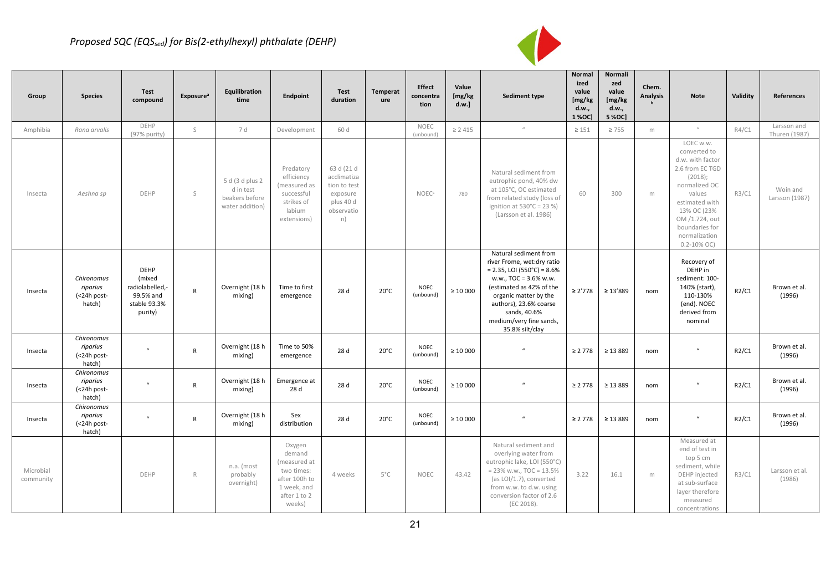### *Proposed SQC (EQSsed) for Bis(2-ethylhexyl) phthalate (DEHP)*



| Group                  | <b>Species</b>                                  | Test<br>compound                                                                 | <b>Exposure</b> <sup>a</sup> | Equilibration<br>time                                             | Endpoint                                                                                                 | Test<br>duration                                                                       | Temperat<br>ure | <b>Effect</b><br>concentra<br>tion | Value<br>[mg/kg]<br>d.w.] | <b>Sediment type</b>                                                                                                                                                                                                                                       | Normal<br>ized<br>value<br>[mg/kg]<br>d.w.,<br>1 % OC | Normali<br>zed<br>value<br>[mg/kg<br>d.w.,<br>5 % OC] | Chem.<br><b>Analysis</b> | <b>Note</b>                                                                                                                                                                                                      | Validity | <b>References</b>            |
|------------------------|-------------------------------------------------|----------------------------------------------------------------------------------|------------------------------|-------------------------------------------------------------------|----------------------------------------------------------------------------------------------------------|----------------------------------------------------------------------------------------|-----------------|------------------------------------|---------------------------|------------------------------------------------------------------------------------------------------------------------------------------------------------------------------------------------------------------------------------------------------------|-------------------------------------------------------|-------------------------------------------------------|--------------------------|------------------------------------------------------------------------------------------------------------------------------------------------------------------------------------------------------------------|----------|------------------------------|
| Amphibia               | Rana arvalis                                    | DEHP<br>(97% purity)                                                             | $\mathsf S$                  | 7 d                                                               | Development                                                                                              | 60 d                                                                                   |                 | <b>NOEC</b><br>(unbound)           | $\geq 2415$               | $\mathcal{U}$                                                                                                                                                                                                                                              | $\geq 151$                                            | $\geq 755$                                            | m                        |                                                                                                                                                                                                                  | R4/C1    | Larsson and<br>Thuren (1987) |
| Insecta                | Aeshna sp                                       | DEHP                                                                             | S                            | 5 d (3 d plus 2<br>d in test<br>beakers before<br>water addition) | Predatory<br>efficiency<br>(measured as<br>successful<br>strikes of<br>labium<br>extensions)             | 63 d (21 d<br>acclimatiza<br>tion to test<br>exposure<br>plus 40 d<br>observatio<br>n) |                 | <b>NOEC<sup>c</sup></b>            | 780                       | Natural sediment from<br>eutrophic pond, 40% dw<br>at 105°C, OC estimated<br>from related study (loss of<br>ignition at $530^{\circ}$ C = 23 %)<br>(Larsson et al. 1986)                                                                                   | 60                                                    | 300                                                   | m                        | LOEC w.w.<br>converted to<br>d.w. with factor<br>2.6 from EC TGD<br>(2018);<br>normalized OC<br>values<br>estimated with<br>13% OC (23%<br>OM /1.724, out<br>boundaries for<br>normalization<br>$0.2 - 10\%$ OC) | R3/C1    | Woin and<br>Larsson (1987)   |
| Insecta                | Chironomus<br>riparius<br>(<24h post-<br>hatch) | <b>DEHP</b><br>(mixed<br>radiolabelled,-<br>99.5% and<br>stable 93.3%<br>purity) | $\mathsf{R}$                 | Overnight (18 h<br>mixing)                                        | Time to first<br>emergence                                                                               | 28 d                                                                                   | $20^{\circ}$ C  | <b>NOEC</b><br>(unbound)           | $\geq 10000$              | Natural sediment from<br>river Frome, wet:dry ratio<br>$= 2.35$ , LOI (550°C) = 8.6%<br>w.w., TOC = 3.6% w.w.<br>(estimated as 42% of the<br>organic matter by the<br>authors), 23.6% coarse<br>sands, 40.6%<br>medium/very fine sands,<br>35.8% silt/clay | $\geq$ 2'778                                          | $\geq 13'889$                                         | nom                      | Recovery of<br>DEHP in<br>sediment: 100-<br>140% (start),<br>110-130%<br>(end). NOEC<br>derived from<br>nominal                                                                                                  | R2/C1    | Brown et al.<br>(1996)       |
| Insecta                | Chironomus<br>riparius<br>(<24h post-<br>hatch) | $\boldsymbol{u}$                                                                 | $\mathsf{R}$                 | Overnight (18 h<br>mixing)                                        | Time to 50%<br>emergence                                                                                 | 28 d                                                                                   | $20^{\circ}$ C  | <b>NOEC</b><br>(unbound)           | $\geq 10000$              | $\mathbf{u}$                                                                                                                                                                                                                                               | $\geq 2778$                                           | $\geq 13889$                                          | nom                      | $\boldsymbol{u}$                                                                                                                                                                                                 | R2/C1    | Brown et al.<br>(1996)       |
| Insecta                | Chironomus<br>riparius<br>(<24h post-<br>hatch) | $\boldsymbol{u}$                                                                 | $\mathsf{R}$                 | Overnight (18 h<br>mixing)                                        | Emergence at<br>28 d                                                                                     | 28 d                                                                                   | $20^{\circ}$ C  | <b>NOEC</b><br>(unbound)           | $\geq 10000$              |                                                                                                                                                                                                                                                            | $\geq 2778$                                           | $\geq 13889$                                          | nom                      |                                                                                                                                                                                                                  | R2/C1    | Brown et al.<br>(1996)       |
| Insecta                | Chironomus<br>riparius<br>(<24h post-<br>hatch) | $\mathbf{u}$                                                                     | $\mathsf{R}$                 | Overnight (18 h<br>mixing)                                        | Sex<br>distribution                                                                                      | 28 d                                                                                   | $20^{\circ}$ C  | <b>NOEC</b><br>(unbound)           | $\geq 10000$              | $\boldsymbol{u}$                                                                                                                                                                                                                                           | $\geq 2.778$                                          | $\geq 13889$                                          | nom                      |                                                                                                                                                                                                                  | R2/C1    | Brown et al.<br>(1996)       |
| Microbial<br>community |                                                 | <b>DEHP</b>                                                                      | $R_{\rm}$                    | n.a. (most<br>probably<br>overnight)                              | Oxygen<br>demand<br>(measured at<br>two times:<br>after 100h to<br>1 week, and<br>after 1 to 2<br>weeks) | 4 weeks                                                                                | $5^{\circ}$ C   | <b>NOEC</b>                        | 43.42                     | Natural sediment and<br>overlying water from<br>eutrophic lake, LOI (550°C)<br>$= 23\%$ w.w., TOC = 13.5%<br>(as LOI/1.7), converted<br>from w.w. to d.w. using<br>conversion factor of 2.6<br>(EC 2018).                                                  | 3.22                                                  | 16.1                                                  | m                        | Measured at<br>end of test in<br>top 5 cm<br>sediment, while<br>DEHP injected<br>at sub-surface<br>layer therefore<br>measured<br>concentrations                                                                 | R3/C1    | Larsson et al.<br>(1986)     |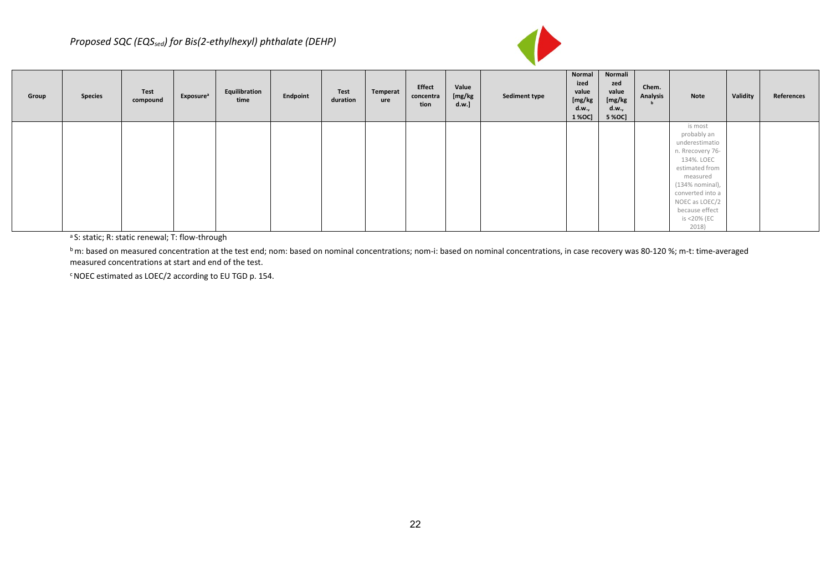

| Group | <b>Species</b> | Test<br>compound | Exposure <sup>a</sup> | Equilibration<br>time | Endpoint | Test<br>duration | Temperat<br>ure | Effect<br>concentra<br>tion | Value<br>[mg/kg<br>d.w.] | <b>Sediment type</b> | Normal<br>ized<br>value<br>[mg/kg<br>d.w.,<br>1 % OC] | Normali<br>zed<br>value<br>[mg/kg<br>d.w.,<br>5 % OC] | Chem.<br><b>Analysis</b> | Note                          | Validity | References |
|-------|----------------|------------------|-----------------------|-----------------------|----------|------------------|-----------------|-----------------------------|--------------------------|----------------------|-------------------------------------------------------|-------------------------------------------------------|--------------------------|-------------------------------|----------|------------|
|       |                |                  |                       |                       |          |                  |                 |                             |                          |                      |                                                       |                                                       |                          | is most                       |          |            |
|       |                |                  |                       |                       |          |                  |                 |                             |                          |                      |                                                       |                                                       |                          | probably an<br>underestimatio |          |            |
|       |                |                  |                       |                       |          |                  |                 |                             |                          |                      |                                                       |                                                       |                          | n. Rrecovery 76-              |          |            |
|       |                |                  |                       |                       |          |                  |                 |                             |                          |                      |                                                       |                                                       |                          | 134%. LOEC                    |          |            |
|       |                |                  |                       |                       |          |                  |                 |                             |                          |                      |                                                       |                                                       |                          | estimated from                |          |            |
|       |                |                  |                       |                       |          |                  |                 |                             |                          |                      |                                                       |                                                       |                          | measured                      |          |            |
|       |                |                  |                       |                       |          |                  |                 |                             |                          |                      |                                                       |                                                       |                          | (134% nominal),               |          |            |
|       |                |                  |                       |                       |          |                  |                 |                             |                          |                      |                                                       |                                                       |                          | converted into a              |          |            |
|       |                |                  |                       |                       |          |                  |                 |                             |                          |                      |                                                       |                                                       |                          | NOEC as LOEC/2                |          |            |
|       |                |                  |                       |                       |          |                  |                 |                             |                          |                      |                                                       |                                                       |                          | because effect                |          |            |
|       |                |                  |                       |                       |          |                  |                 |                             |                          |                      |                                                       |                                                       |                          | is <20% (EC                   |          |            |
|       |                |                  |                       |                       |          |                  |                 |                             |                          |                      |                                                       |                                                       |                          | 2018)                         |          |            |

a S: static; R: static renewal; T: flow-through

bm: based on measured concentration at the test end; nom: based on nominal concentrations; nom-i: based on nominal concentrations, in case recovery was 80-120 %; m-t: time-averaged measured concentrations at start and end of the test.

<sup>c</sup> NOEC estimated as LOEC/2 according to EU TGD p. 154.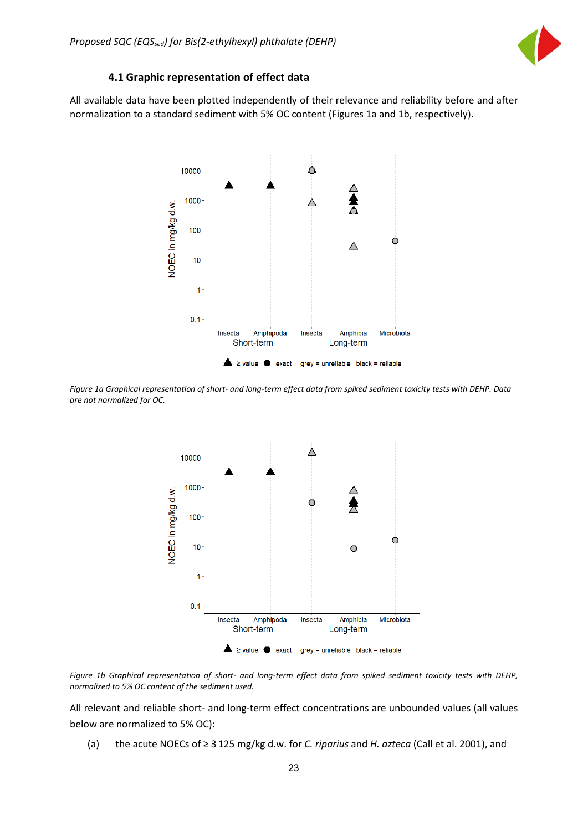

#### **4.1 Graphic representation of effect data**

<span id="page-23-0"></span>All available data have been plotted independently of their relevance and reliability before and after normalization to a standard sediment with 5% OC content (Figures 1a and 1b, respectively).



*Figure 1a Graphical representation of short- and long-term effect data from spiked sediment toxicity tests with DEHP. Data are not normalized for OC.* 



*Figure 1b Graphical representation of short- and long-term effect data from spiked sediment toxicity tests with DEHP, normalized to 5% OC content of the sediment used.*

All relevant and reliable short- and long-term effect concentrations are unbounded values (all values below are normalized to 5% OC):

(a) the acute NOECs of ≥ 3 125 mg/kg d.w. for *C. riparius* and *H. azteca* (Call et al. 2001), and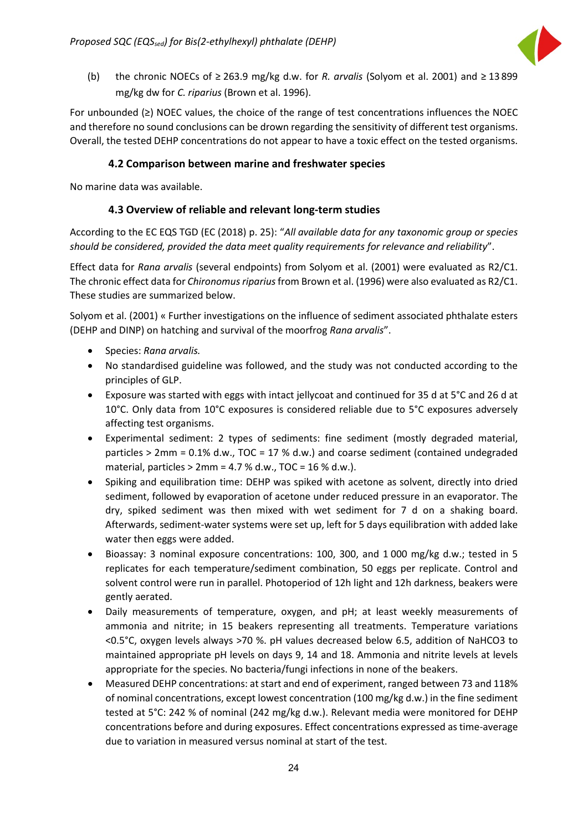

(b) the chronic NOECs of ≥ 263.9 mg/kg d.w. for *R. arvalis* (Solyom et al. 2001) and ≥ 13 899 mg/kg dw for *C. riparius* (Brown et al. 1996).

For unbounded (≥) NOEC values, the choice of the range of test concentrations influences the NOEC and therefore no sound conclusions can be drown regarding the sensitivity of different test organisms. Overall, the tested DEHP concentrations do not appear to have a toxic effect on the tested organisms.

#### **4.2 Comparison between marine and freshwater species**

<span id="page-24-1"></span><span id="page-24-0"></span>No marine data was available.

#### **4.3 Overview of reliable and relevant long-term studies**

According to the EC EQS TGD (EC (2018) p. 25): "*All available data for any taxonomic group or species should be considered, provided the data meet quality requirements for relevance and reliability*".

Effect data for *Rana arvalis* (several endpoints) from Solyom et al. (2001) were evaluated as R2/C1. The chronic effect data for *Chironomus riparius*from Brown et al. (1996) were also evaluated as R2/C1. These studies are summarized below.

Solyom et al. (2001) « Further investigations on the influence of sediment associated phthalate esters (DEHP and DINP) on hatching and survival of the moorfrog *Rana arvalis*".

- Species: *Rana arvalis.*
- No standardised guideline was followed, and the study was not conducted according to the principles of GLP.
- Exposure was started with eggs with intact jellycoat and continued for 35 d at 5°C and 26 d at 10°C. Only data from 10°C exposures is considered reliable due to 5°C exposures adversely affecting test organisms.
- Experimental sediment: 2 types of sediments: fine sediment (mostly degraded material, particles  $> 2$ mm = 0.1% d.w., TOC = 17 % d.w.) and coarse sediment (contained undegraded material, particles  $> 2$ mm = 4.7 % d.w., TOC = 16 % d.w.).
- Spiking and equilibration time: DEHP was spiked with acetone as solvent, directly into dried sediment, followed by evaporation of acetone under reduced pressure in an evaporator. The dry, spiked sediment was then mixed with wet sediment for 7 d on a shaking board. Afterwards, sediment-water systems were set up, left for 5 days equilibration with added lake water then eggs were added.
- Bioassay: 3 nominal exposure concentrations: 100, 300, and 1 000 mg/kg d.w.; tested in 5 replicates for each temperature/sediment combination, 50 eggs per replicate. Control and solvent control were run in parallel. Photoperiod of 12h light and 12h darkness, beakers were gently aerated.
- Daily measurements of temperature, oxygen, and pH; at least weekly measurements of ammonia and nitrite; in 15 beakers representing all treatments. Temperature variations <0.5°C, oxygen levels always >70 %. pH values decreased below 6.5, addition of NaHCO3 to maintained appropriate pH levels on days 9, 14 and 18. Ammonia and nitrite levels at levels appropriate for the species. No bacteria/fungi infections in none of the beakers.
- Measured DEHP concentrations: at start and end of experiment, ranged between 73 and 118% of nominal concentrations, except lowest concentration (100 mg/kg d.w.) in the fine sediment tested at 5°C: 242 % of nominal (242 mg/kg d.w.). Relevant media were monitored for DEHP concentrations before and during exposures. Effect concentrations expressed as time-average due to variation in measured versus nominal at start of the test.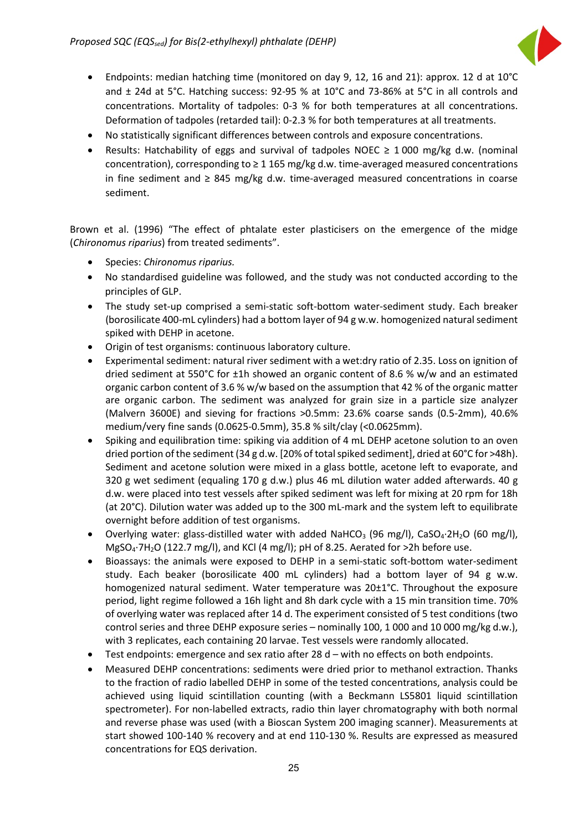

- Endpoints: median hatching time (monitored on day 9, 12, 16 and 21): approx. 12 d at 10°C and ± 24d at 5°C. Hatching success: 92-95 % at 10°C and 73-86% at 5°C in all controls and concentrations. Mortality of tadpoles: 0-3 % for both temperatures at all concentrations. Deformation of tadpoles (retarded tail): 0-2.3 % for both temperatures at all treatments.
- No statistically significant differences between controls and exposure concentrations.
- Results: Hatchability of eggs and survival of tadpoles NOEC  $\geq 1000$  mg/kg d.w. (nominal concentration), corresponding to  $\geq 1$  165 mg/kg d.w. time-averaged measured concentrations in fine sediment and ≥ 845 mg/kg d.w. time-averaged measured concentrations in coarse sediment.

Brown et al. (1996) "The effect of phtalate ester plasticisers on the emergence of the midge (*Chironomus riparius*) from treated sediments".

- Species: *Chironomus riparius.*
- No standardised guideline was followed, and the study was not conducted according to the principles of GLP.
- The study set-up comprised a semi-static soft-bottom water-sediment study. Each breaker (borosilicate 400-mL cylinders) had a bottom layer of 94 g w.w. homogenized natural sediment spiked with DEHP in acetone.
- Origin of test organisms: continuous laboratory culture.
- Experimental sediment: natural river sediment with a wet:dry ratio of 2.35. Loss on ignition of dried sediment at 550°C for ±1h showed an organic content of 8.6 % w/w and an estimated organic carbon content of 3.6 % w/w based on the assumption that 42 % of the organic matter are organic carbon. The sediment was analyzed for grain size in a particle size analyzer (Malvern 3600E) and sieving for fractions >0.5mm: 23.6% coarse sands (0.5-2mm), 40.6% medium/very fine sands (0.0625-0.5mm), 35.8 % silt/clay (<0.0625mm).
- Spiking and equilibration time: spiking via addition of 4 mL DEHP acetone solution to an oven dried portion of the sediment (34 g d.w. [20% of total spiked sediment], dried at 60°C for >48h). Sediment and acetone solution were mixed in a glass bottle, acetone left to evaporate, and 320 g wet sediment (equaling 170 g d.w.) plus 46 mL dilution water added afterwards. 40 g d.w. were placed into test vessels after spiked sediment was left for mixing at 20 rpm for 18h (at 20°C). Dilution water was added up to the 300 mL-mark and the system left to equilibrate overnight before addition of test organisms.
- Overlying water: glass-distilled water with added NaHCO<sub>3</sub> (96 mg/l), CaSO<sub>4</sub>.2H<sub>2</sub>O (60 mg/l), MgSO4·7H2O (122.7 mg/l), and KCl (4 mg/l); pH of 8.25. Aerated for >2h before use.
- Bioassays: the animals were exposed to DEHP in a semi-static soft-bottom water-sediment study. Each beaker (borosilicate 400 mL cylinders) had a bottom layer of 94 g w.w. homogenized natural sediment. Water temperature was 20±1°C. Throughout the exposure period, light regime followed a 16h light and 8h dark cycle with a 15 min transition time. 70% of overlying water was replaced after 14 d. The experiment consisted of 5 test conditions (two control series and three DEHP exposure series – nominally 100, 1 000 and 10 000 mg/kg d.w.), with 3 replicates, each containing 20 larvae. Test vessels were randomly allocated.
- Test endpoints: emergence and sex ratio after 28 d with no effects on both endpoints.
- Measured DEHP concentrations: sediments were dried prior to methanol extraction. Thanks to the fraction of radio labelled DEHP in some of the tested concentrations, analysis could be achieved using liquid scintillation counting (with a Beckmann LS5801 liquid scintillation spectrometer). For non-labelled extracts, radio thin layer chromatography with both normal and reverse phase was used (with a Bioscan System 200 imaging scanner). Measurements at start showed 100-140 % recovery and at end 110-130 %. Results are expressed as measured concentrations for EQS derivation.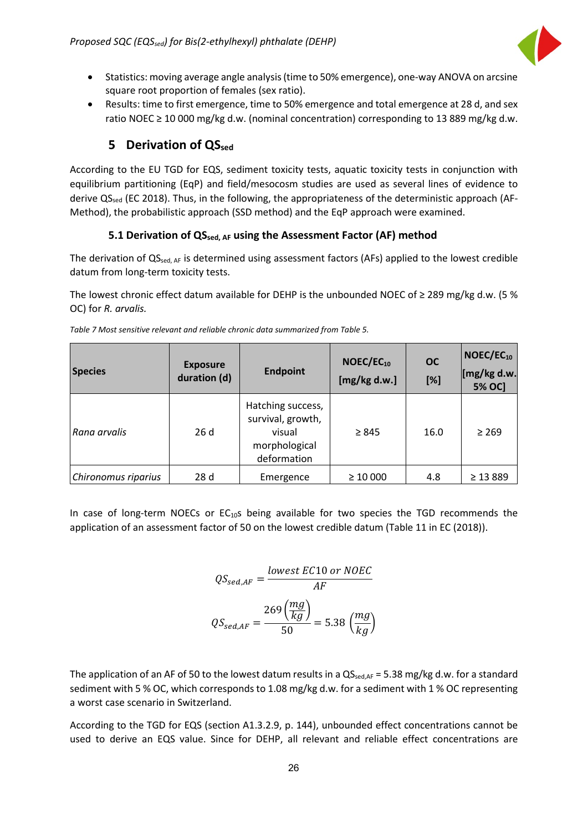

- Statistics: moving average angle analysis (time to 50% emergence), one-way ANOVA on arcsine square root proportion of females (sex ratio).
- Results: time to first emergence, time to 50% emergence and total emergence at 28 d, and sex ratio NOEC  $\geq$  10 000 mg/kg d.w. (nominal concentration) corresponding to 13 889 mg/kg d.w.

### **5 Derivation of QSsed**

<span id="page-26-0"></span>According to the EU TGD for EQS, sediment toxicity tests, aquatic toxicity tests in conjunction with equilibrium partitioning (EqP) and field/mesocosm studies are used as several lines of evidence to derive QS<sub>sed</sub> (EC 2018). Thus, in the following, the appropriateness of the deterministic approach (AF-Method), the probabilistic approach (SSD method) and the EqP approach were examined.

#### **5.1 Derivation of QSsed, AF using the Assessment Factor (AF) method**

<span id="page-26-1"></span>The derivation of  $QS_{sed, AF}$  is determined using assessment factors (AFs) applied to the lowest credible datum from long-term toxicity tests.

The lowest chronic effect datum available for DEHP is the unbounded NOEC of ≥ 289 mg/kg d.w. (5 % OC) for *R. arvalis.*

| <b>Species</b>      | <b>Exposure</b><br><b>Endpoint</b><br>duration (d) |                                                                                  | NOEC/EC <sub>10</sub><br>[mg/kg d.w.] | <b>OC</b><br>[%] | $NOEC/EC_{10}$<br>[mg/kg d.w.<br><b>5% OC]</b> |  |
|---------------------|----------------------------------------------------|----------------------------------------------------------------------------------|---------------------------------------|------------------|------------------------------------------------|--|
| Rana arvalis        | 26d                                                | Hatching success,<br>survival, growth,<br>visual<br>morphological<br>deformation | $\geq 845$                            | 16.0             | $\geq 269$                                     |  |
| Chironomus riparius | 28 <sub>d</sub>                                    | Emergence                                                                        | $\geq 10000$                          | 4.8              | $\geq$ 13 889                                  |  |

*Table 7 Most sensitive relevant and reliable chronic data summarized from Table 5.*

In case of long-term NOECs or  $EC_{10}$ s being available for two species the TGD recommends the application of an assessment factor of 50 on the lowest credible datum (Table 11 in EC (2018)).

$$
QS_{sed,AF} = \frac{lowest \ EC10 \ or \ NOEC}{AF}
$$

$$
QS_{sed,AF} = \frac{269 \left(\frac{mg}{kg}\right)}{50} = 5.38 \left(\frac{mg}{kg}\right)
$$

The application of an AF of 50 to the lowest datum results in a  $QS_{\text{sed},AF} = 5.38 \text{ mg/kg}$  d.w. for a standard sediment with 5 % OC, which corresponds to 1.08 mg/kg d.w. for a sediment with 1 % OC representing a worst case scenario in Switzerland.

According to the TGD for EQS (section A1.3.2.9, p. 144), unbounded effect concentrations cannot be used to derive an EQS value. Since for DEHP, all relevant and reliable effect concentrations are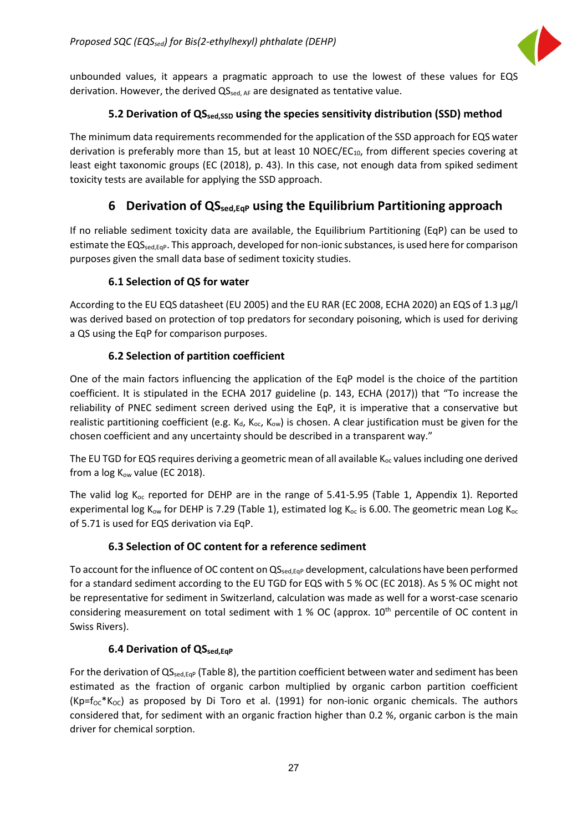

unbounded values, it appears a pragmatic approach to use the lowest of these values for EQS derivation. However, the derived  $QS_{sed, AF}$  are designated as tentative value.

#### **5.2 Derivation of QSsed,SSD using the species sensitivity distribution (SSD) method**

<span id="page-27-0"></span>The minimum data requirements recommended for the application of the SSD approach for EQS water derivation is preferably more than 15, but at least 10 NOEC/EC<sub>10</sub>, from different species covering at least eight taxonomic groups (EC (2018), p. 43). In this case, not enough data from spiked sediment toxicity tests are available for applying the SSD approach.

### **6 Derivation of QSsed,EqP using the Equilibrium Partitioning approach**

<span id="page-27-1"></span>If no reliable sediment toxicity data are available, the Equilibrium Partitioning (EqP) can be used to estimate the EQS<sub>sed,Eqp</sub>. This approach, developed for non-ionic substances, is used here for comparison purposes given the small data base of sediment toxicity studies.

#### **6.1 Selection of QS for water**

<span id="page-27-2"></span>According to the EU EQS datasheet (EU 2005) and the EU RAR (EC 2008, ECHA 2020) an EQS of 1.3 µg/l was derived based on protection of top predators for secondary poisoning, which is used for deriving a QS using the EqP for comparison purposes.

#### **6.2 Selection of partition coefficient**

<span id="page-27-3"></span>One of the main factors influencing the application of the EqP model is the choice of the partition coefficient. It is stipulated in the ECHA 2017 guideline (p. 143, ECHA (2017)) that "To increase the reliability of PNEC sediment screen derived using the EqP, it is imperative that a conservative but realistic partitioning coefficient (e.g.  $K_{\text{dc}}$ ,  $K_{\text{oc}}$ ,  $K_{\text{ow}}$ ) is chosen. A clear justification must be given for the chosen coefficient and any uncertainty should be described in a transparent way."

The EU TGD for EQS requires deriving a geometric mean of all available K<sub>oc</sub> values including one derived from a  $log K_{ow}$  value (EC 2018).

The valid log  $K_{oc}$  reported for DEHP are in the range of 5.41-5.95 (Table 1, Appendix 1). Reported experimental log K<sub>ow</sub> for DEHP is 7.29 (Table 1), estimated log K<sub>oc</sub> is 6.00. The geometric mean Log K<sub>oc</sub> of 5.71 is used for EQS derivation via EqP.

#### **6.3 Selection of OC content for a reference sediment**

<span id="page-27-4"></span>To account for the influence of OC content on  $QS_{\text{sed,EqP}}$  development, calculations have been performed for a standard sediment according to the EU TGD for EQS with 5 % OC (EC 2018). As 5 % OC might not be representative for sediment in Switzerland, calculation was made as well for a worst-case scenario considering measurement on total sediment with  $1\%$  OC (approx.  $10<sup>th</sup>$  percentile of OC content in Swiss Rivers).

#### **6.4 Derivation of QS**sed, Eqp

<span id="page-27-5"></span>For the derivation of  $QS_{\text{sed,EqP}}$  (Table 8), the partition coefficient between water and sediment has been estimated as the fraction of organic carbon multiplied by organic carbon partition coefficient  $(Kp=f<sub>OC</sub>*K<sub>OC</sub>)$  as proposed by Di Toro et al. (1991) for non-ionic organic chemicals. The authors considered that, for sediment with an organic fraction higher than 0.2 %, organic carbon is the main driver for chemical sorption.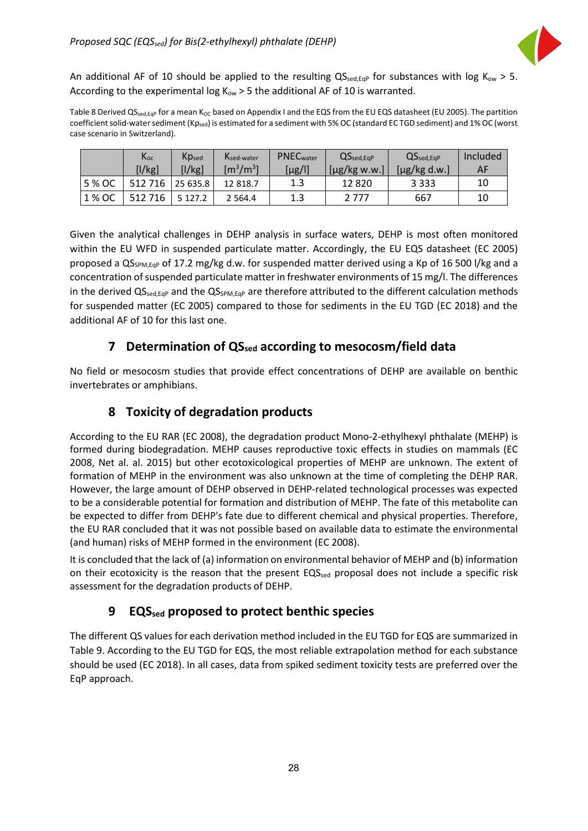

An additional AF of 10 should be applied to the resulting  $QS_{\text{sed,Eq}}$  for substances with log K<sub>ow</sub> > 5. According to the experimental log  $K_{ow} > 5$  the additional AF of 10 is warranted.

Table 8 Derived QSsed,Eqp for a mean K<sub>OC</sub> based on Appendix I and the EQS from the EU EQS datasheet (EU 2005). The partition coefficient solid-water sediment (Kp<sub>sed</sub>) is estimated for a sediment with 5% OC (standard EC TGD sediment) and 1% OC (worst case scenario in Switzerland).

|        | $K_{oc}$<br>[1/kg] | Kpsed<br>[l/kg] | Ksed-water<br>$\rm [m^3/m^3]$ | <b>PNEC</b> water<br>[µg/l] | $QS_{sed,EqP}$<br>$[\mu$ g/kg w.w.] | $QS_{\text{sed,EqP}}$<br>$\lceil \mu g / \log d.w.\rceil$ | Included<br>AF |
|--------|--------------------|-----------------|-------------------------------|-----------------------------|-------------------------------------|-----------------------------------------------------------|----------------|
| 5 % OC | 512 716            | 25 635.8        | 12 818.7                      | 1.3                         | 12820                               | 3 3 3 3                                                   | 10             |
| 1 % OC | 512 716            | 5 1 2 7 . 2     | 2 5 6 4 . 4                   | 1.3                         | 2 777                               | 667                                                       | 10             |

Given the analytical challenges in DEHP analysis in surface waters, DEHP is most often monitored within the EU WFD in suspended particulate matter. Accordingly, the EU EQS datasheet (EC 2005) proposed a QS<sub>SPM, Eqp</sub> of 17.2 mg/kg d.w. for suspended matter derived using a Kp of 16 500 l/kg and a concentration of suspended particulate matter in freshwater environments of 15 mg/l. The differences in the derived  $QS_{sed,Eq}$  and the  $QS_{SPM,Eq}$  are therefore attributed to the different calculation methods for suspended matter (EC 2005) compared to those for sediments in the EU TGD (EC 2018) and the additional AF of 10 for this last one.

### **7 Determination of QSsed according to mesocosm/field data**

<span id="page-28-0"></span>No field or mesocosm studies that provide effect concentrations of DEHP are available on benthic invertebrates or amphibians.

### **8 Toxicity of degradation products**

<span id="page-28-1"></span>According to the EU RAR (EC 2008), the degradation product Mono-2-ethylhexyl phthalate (MEHP) is formed during biodegradation. MEHP causes reproductive toxic effects in studies on mammals (EC 2008, Net al. al. 2015) but other ecotoxicological properties of MEHP are unknown. The extent of formation of MEHP in the environment was also unknown at the time of completing the DEHP RAR. However, the large amount of DEHP observed in DEHP-related technological processes was expected to be a considerable potential for formation and distribution of MEHP. The fate of this metabolite can be expected to differ from DEHP's fate due to different chemical and physical properties. Therefore, the EU RAR concluded that it was not possible based on available data to estimate the environmental (and human) risks of MEHP formed in the environment (EC 2008).

It is concluded that the lack of (a) information on environmental behavior of MEHP and (b) information on their ecotoxicity is the reason that the present  $EQ_{\text{sed}}$  proposal does not include a specific risk assessment for the degradation products of DEHP.

### <span id="page-28-2"></span>**9 EQSsed proposed to protect benthic species**

The different QS values for each derivation method included in the EU TGD for EQS are summarized in Table 9. According to the EU TGD for EQS, the most reliable extrapolation method for each substance should be used (EC 2018). In all cases, data from spiked sediment toxicity tests are preferred over the EqP approach.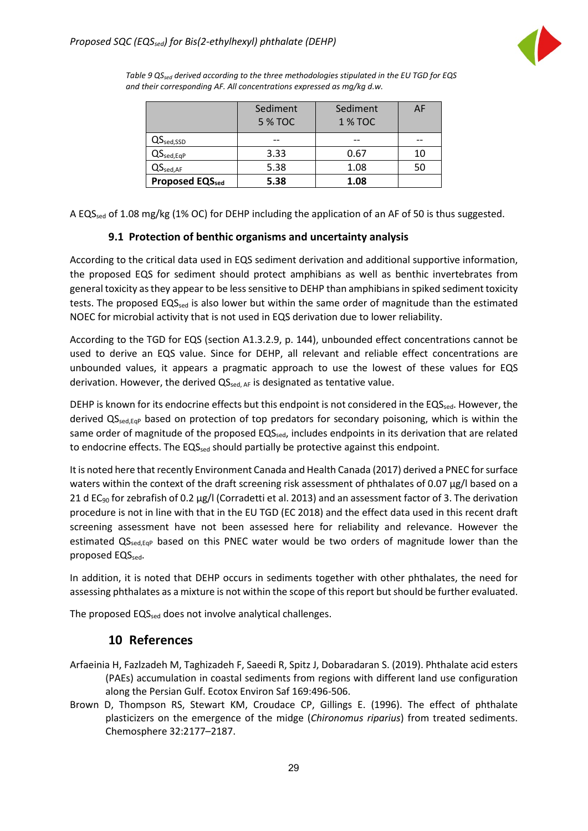

*Table 9 QSsed derived according to the three methodologies stipulated in the EU TGD for EQS and their corresponding AF. All concentrations expressed as mg/kg d.w.*

|                                | Sediment       | Sediment      | AF |
|--------------------------------|----------------|---------------|----|
|                                | <b>5 % TOC</b> | <b>1% TOC</b> |    |
| $\mathsf{QS}_\mathsf{sed,SSD}$ |                |               |    |
| $QS_{\text{sed,EqP}}$          | 3.33           | 0.67          | 10 |
| $QS_{\text{sed,AF}}$           | 5.38           | 1.08          | 50 |
| <b>Proposed EQSsed</b>         | 5.38           | 1.08          |    |

A EQS<sub>sed</sub> of 1.08 mg/kg (1% OC) for DEHP including the application of an AF of 50 is thus suggested.

#### <span id="page-29-0"></span>**9.1 Protection of benthic organisms and uncertainty analysis**

According to the critical data used in EQS sediment derivation and additional supportive information, the proposed EQS for sediment should protect amphibians as well as benthic invertebrates from general toxicity as they appear to be less sensitive to DEHP than amphibiansin spiked sediment toxicity tests. The proposed EQS<sub>sed</sub> is also lower but within the same order of magnitude than the estimated NOEC for microbial activity that is not used in EQS derivation due to lower reliability.

According to the TGD for EQS (section A1.3.2.9, p. 144), unbounded effect concentrations cannot be used to derive an EQS value. Since for DEHP, all relevant and reliable effect concentrations are unbounded values, it appears a pragmatic approach to use the lowest of these values for EQS derivation. However, the derived QS<sub>sed, AF</sub> is designated as tentative value.

DEHP is known for its endocrine effects but this endpoint is not considered in the EQSsed. However, the derived QS<sub>sed,Eqp</sub> based on protection of top predators for secondary poisoning, which is within the same order of magnitude of the proposed  $EQS_{\text{sed}}$ , includes endpoints in its derivation that are related to endocrine effects. The EQS<sub>sed</sub> should partially be protective against this endpoint.

It is noted here that recently Environment Canada and Health Canada (2017) derived a PNEC for surface waters within the context of the draft screening risk assessment of phthalates of 0.07 µg/l based on a 21 d EC<sub>90</sub> for zebrafish of 0.2 µg/l (Corradetti et al. 2013) and an assessment factor of 3. The derivation procedure is not in line with that in the EU TGD (EC 2018) and the effect data used in this recent draft screening assessment have not been assessed here for reliability and relevance. However the estimated QS<sub>sed,Eqp</sub> based on this PNEC water would be two orders of magnitude lower than the proposed EQSsed.

In addition, it is noted that DEHP occurs in sediments together with other phthalates, the need for assessing phthalates as a mixture is not within the scope of this report but should be further evaluated.

The proposed EQS<sub>sed</sub> does not involve analytical challenges.

#### <span id="page-29-1"></span>**10 References**

- Arfaeinia H, Fazlzadeh M, Taghizadeh F, Saeedi R, Spitz J, Dobaradaran S. (2019). Phthalate acid esters (PAEs) accumulation in coastal sediments from regions with different land use configuration along the Persian Gulf. Ecotox Environ Saf 169:496-506.
- Brown D, Thompson RS, Stewart KM, Croudace CP, Gillings E. (1996). The effect of phthalate plasticizers on the emergence of the midge (*Chironomus riparius*) from treated sediments. Chemosphere 32:2177–2187.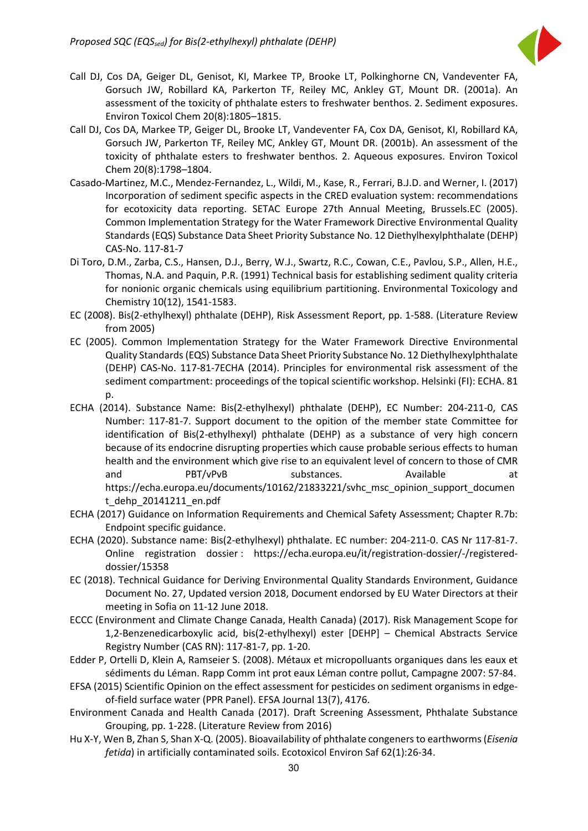

- Call DJ, Cos DA, Geiger DL, Genisot, KI, Markee TP, Brooke LT, Polkinghorne CN, Vandeventer FA, Gorsuch JW, Robillard KA, Parkerton TF, Reiley MC, Ankley GT, Mount DR. (2001a). An assessment of the toxicity of phthalate esters to freshwater benthos. 2. Sediment exposures. Environ Toxicol Chem 20(8):1805–1815.
- Call DJ, Cos DA, Markee TP, Geiger DL, Brooke LT, Vandeventer FA, Cox DA, Genisot, KI, Robillard KA, Gorsuch JW, Parkerton TF, Reiley MC, Ankley GT, Mount DR. (2001b). An assessment of the toxicity of phthalate esters to freshwater benthos. 2. Aqueous exposures. Environ Toxicol Chem 20(8):1798–1804.
- Casado-Martinez, M.C., Mendez-Fernandez, L., Wildi, M., Kase, R., Ferrari, B.J.D. and Werner, I. (2017) Incorporation of sediment specific aspects in the CRED evaluation system: recommendations for ecotoxicity data reporting. SETAC Europe 27th Annual Meeting, Brussels.EC (2005). Common Implementation Strategy for the Water Framework Directive Environmental Quality Standards (EQS) Substance Data Sheet Priority Substance No. 12 Diethylhexylphthalate (DEHP) CAS-No. 117-81-7
- Di Toro, D.M., Zarba, C.S., Hansen, D.J., Berry, W.J., Swartz, R.C., Cowan, C.E., Pavlou, S.P., Allen, H.E., Thomas, N.A. and Paquin, P.R. (1991) Technical basis for establishing sediment quality criteria for nonionic organic chemicals using equilibrium partitioning. Environmental Toxicology and Chemistry 10(12), 1541-1583.
- EC (2008). Bis(2-ethylhexyl) phthalate (DEHP), Risk Assessment Report, pp. 1-588. (Literature Review from 2005)
- EC (2005). Common Implementation Strategy for the Water Framework Directive Environmental Quality Standards (EQS) Substance Data Sheet Priority Substance No. 12 Diethylhexylphthalate (DEHP) CAS-No. 117-81-7ECHA (2014). Principles for environmental risk assessment of the sediment compartment: proceedings of the topical scientific workshop. Helsinki (FI): ECHA. 81 p.
- ECHA (2014). Substance Name: Bis(2-ethylhexyl) phthalate (DEHP), EC Number: 204-211-0, CAS Number: 117-81-7. Support document to the opition of the member state Committee for identification of Bis(2-ethylhexyl) phthalate (DEHP) as a substance of very high concern because of its endocrine disrupting properties which cause probable serious effects to human health and the environment which give rise to an equivalent level of concern to those of CMR and PBT/vPvB substances. Available at [https://echa.europa.eu/documents/10162/21833221/svhc\\_msc\\_opinion\\_support\\_documen](https://echa.europa.eu/documents/10162/21833221/svhc_msc_opinion_support_document_dehp_20141211_en.pdf) [t\\_dehp\\_20141211\\_en.pdf](https://echa.europa.eu/documents/10162/21833221/svhc_msc_opinion_support_document_dehp_20141211_en.pdf)
- ECHA (2017) Guidance on Information Requirements and Chemical Safety Assessment; Chapter R.7b: Endpoint specific guidance.
- ECHA (2020). Substance name: Bis(2-ethylhexyl) phthalate. EC number: 204-211-0. CAS Nr 117-81-7. Online registration dossier : [https://echa.europa.eu/it/registration-dossier/-/registered](https://echa.europa.eu/it/registration-dossier/-/registered-dossier/15358)[dossier/15358](https://echa.europa.eu/it/registration-dossier/-/registered-dossier/15358)
- EC (2018). Technical Guidance for Deriving Environmental Quality Standards Environment, Guidance Document No. 27, Updated version 2018, Document endorsed by EU Water Directors at their meeting in Sofia on 11-12 June 2018.
- ECCC (Environment and Climate Change Canada, Health Canada) (2017). Risk Management Scope for 1,2-Benzenedicarboxylic acid, bis(2-ethylhexyl) ester [DEHP] – Chemical Abstracts Service Registry Number (CAS RN): 117-81-7, pp. 1-20.
- Edder P, Ortelli D, Klein A, Ramseier S. (2008). Métaux et micropolluants organiques dans les eaux et sédiments du Léman. Rapp Comm int prot eaux Léman contre pollut, Campagne 2007: 57-84.
- EFSA (2015) Scientific Opinion on the effect assessment for pesticides on sediment organisms in edgeof-field surface water (PPR Panel). EFSA Journal 13(7), 4176.
- Environment Canada and Health Canada (2017). Draft Screening Assessment, Phthalate Substance Grouping, pp. 1-228. (Literature Review from 2016)
- Hu X-Y, Wen B, Zhan S, Shan X-Q. (2005). Bioavailability of phthalate congeners to earthworms (*Eisenia fetida*) in artificially contaminated soils. Ecotoxicol Environ Saf 62(1):26-34.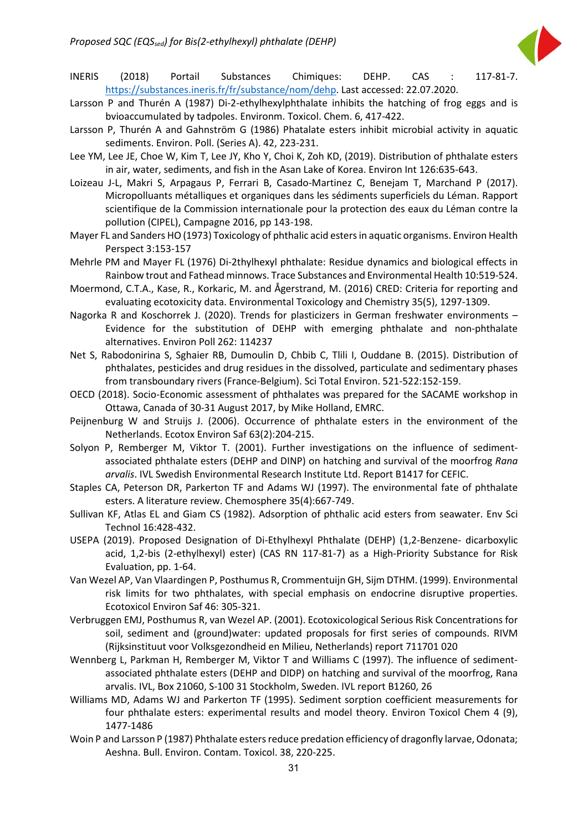

- INERIS (2018) Portail Substances Chimiques: DEHP. CAS : 117-81-7. [https://substances.ineris.fr/fr/substance/nom/dehp.](https://substances.ineris.fr/fr/substance/nom/dehp) Last accessed: 22.07.2020.
- Larsson P and Thurén A (1987) Di-2-ethylhexylphthalate inhibits the hatching of frog eggs and is bvioaccumulated by tadpoles. Environm. Toxicol. Chem. 6, 417-422.
- Larsson P, Thurén A and Gahnström G (1986) Phatalate esters inhibit microbial activity in aquatic sediments. Environ. Poll. (Series A). 42, 223-231.
- Lee YM, Lee JE, Choe W, Kim T, Lee JY, Kho Y, Choi K, Zoh KD, (2019). Distribution of phthalate esters in air, water, sediments, and fish in the Asan Lake of Korea. Environ Int 126:635-643.
- Loizeau J-L, Makri S, Arpagaus P, Ferrari B, Casado-Martinez C, Benejam T, Marchand P (2017). Micropolluants métalliques et organiques dans les sédiments superficiels du Léman. Rapport scientifique de la Commission internationale pour la protection des eaux du Léman contre la pollution (CIPEL), Campagne 2016, pp 143-198.
- Mayer FL and Sanders HO (1973) Toxicology of phthalic acid esters in aquatic organisms. Environ Health Perspect 3:153-157
- Mehrle PM and Mayer FL (1976) Di-2thylhexyl phthalate: Residue dynamics and biological effects in Rainbow trout and Fathead minnows. Trace Substances and Environmental Health 10:519-524.
- Moermond, C.T.A., Kase, R., Korkaric, M. and Ågerstrand, M. (2016) CRED: Criteria for reporting and evaluating ecotoxicity data. Environmental Toxicology and Chemistry 35(5), 1297-1309.
- Nagorka R and Koschorrek J. (2020). Trends for plasticizers in German freshwater environments Evidence for the substitution of DEHP with emerging phthalate and non-phthalate alternatives. Environ Poll 262: 114237
- Net S, Rabodonirina S, Sghaier RB, Dumoulin D, Chbib C, Tlili I, Ouddane B. (2015). Distribution of phthalates, pesticides and drug residues in the dissolved, particulate and sedimentary phases from transboundary rivers (France-Belgium). Sci Total Environ. 521-522:152-159.
- OECD (2018). Socio-Economic assessment of phthalates was prepared for the SACAME workshop in Ottawa, Canada of 30-31 August 2017, by Mike Holland, EMRC.
- Peijnenburg W and Struijs J. (2006). Occurrence of phthalate esters in the environment of the Netherlands. Ecotox Environ Saf 63(2):204-215.
- Solyon P, Remberger M, Viktor T. (2001). Further investigations on the influence of sedimentassociated phthalate esters (DEHP and DINP) on hatching and survival of the moorfrog *Rana arvalis*. IVL Swedish Environmental Research Institute Ltd. Report B1417 for CEFIC.
- Staples CA, Peterson DR, Parkerton TF and Adams WJ (1997). The environmental fate of phthalate esters. A literature review. Chemosphere 35(4):667-749.
- Sullivan KF, Atlas EL and Giam CS (1982). Adsorption of phthalic acid esters from seawater. Env Sci Technol 16:428-432.
- USEPA (2019). Proposed Designation of Di-Ethylhexyl Phthalate (DEHP) (1,2-Benzene- dicarboxylic acid, 1,2-bis (2-ethylhexyl) ester) (CAS RN 117-81-7) as a High-Priority Substance for Risk Evaluation, pp. 1-64.
- Van Wezel AP, Van Vlaardingen P, Posthumus R, Crommentuijn GH, Sijm DTHM. (1999). Environmental risk limits for two phthalates, with special emphasis on endocrine disruptive properties. Ecotoxicol Environ Saf 46: 305-321.
- Verbruggen EMJ, Posthumus R, van Wezel AP. (2001). Ecotoxicological Serious Risk Concentrations for soil, sediment and (ground)water: updated proposals for first series of compounds. RIVM (Rijksinstituut voor Volksgezondheid en Milieu, Netherlands) report 711701 020
- Wennberg L, Parkman H, Remberger M, Viktor T and Williams C (1997). The influence of sedimentassociated phthalate esters (DEHP and DIDP) on hatching and survival of the moorfrog, Rana arvalis. IVL, Box 21060, S-100 31 Stockholm, Sweden. IVL report B1260, 26
- Williams MD, Adams WJ and Parkerton TF (1995). Sediment sorption coefficient measurements for four phthalate esters: experimental results and model theory. Environ Toxicol Chem 4 (9), 1477-1486
- Woin P and Larsson P (1987) Phthalate esters reduce predation efficiency of dragonfly larvae, Odonata; Aeshna. Bull. Environ. Contam. Toxicol. 38, 220-225.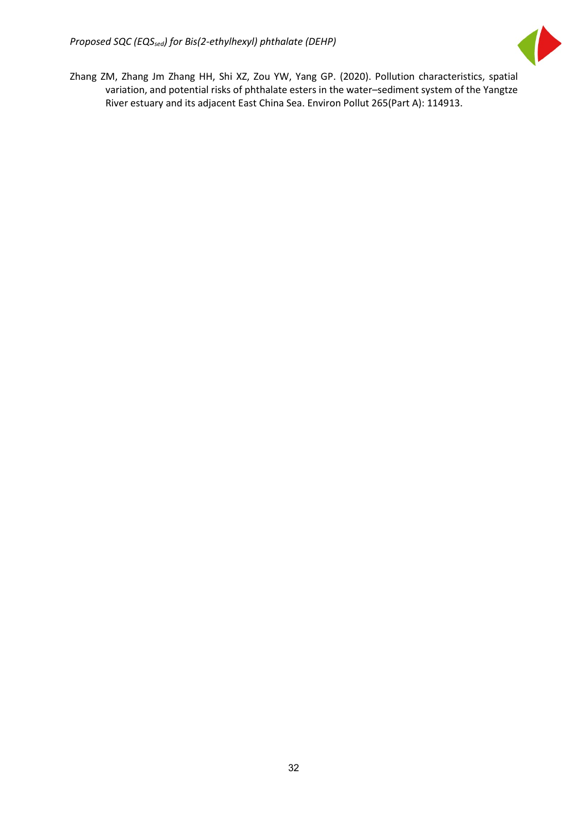

Zhang ZM, Zhang Jm Zhang HH, Shi XZ, Zou YW, Yang GP. (2020). Pollution characteristics, spatial variation, and potential risks of phthalate esters in the water–sediment system of the Yangtze River estuary and its adjacent East China Sea. Environ Pollut [265\(Part A\)](https://www.sciencedirect.com/science/journal/02697491/265/part/PA): 114913.